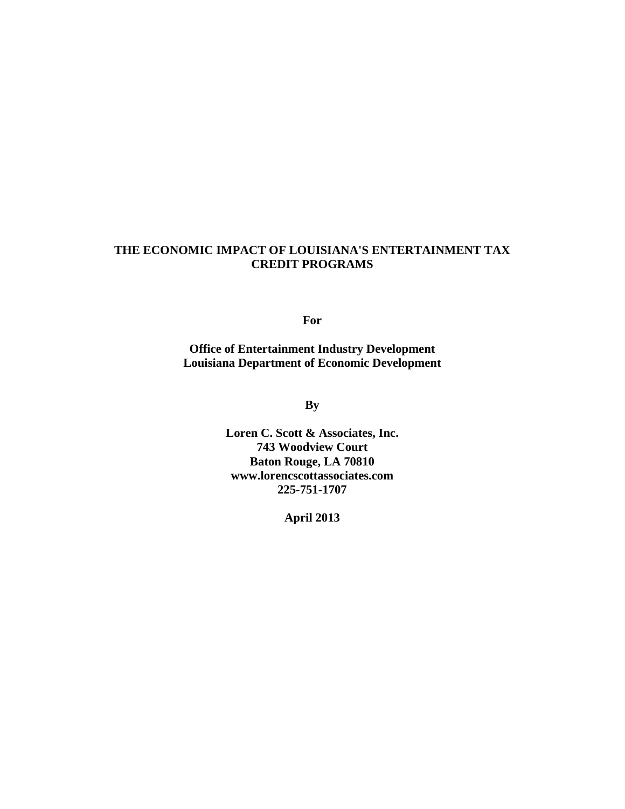# **THE ECONOMIC IMPACT OF LOUISIANA'S ENTERTAINMENT TAX CREDIT PROGRAMS**

**For** 

**Office of Entertainment Industry Development Louisiana Department of Economic Development** 

**By** 

**Loren C. Scott & Associates, Inc. 743 Woodview Court Baton Rouge, LA 70810 www.lorencscottassociates.com 225-751-1707** 

**April 2013**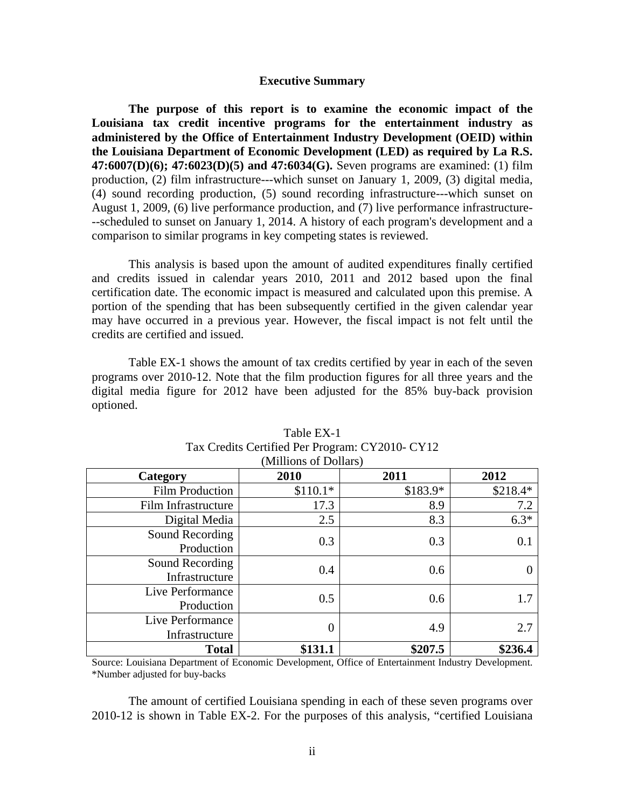#### **Executive Summary**

**The purpose of this report is to examine the economic impact of the Louisiana tax credit incentive programs for the entertainment industry as administered by the Office of Entertainment Industry Development (OEID) within the Louisiana Department of Economic Development (LED) as required by La R.S. 47:6007(D)(6); 47:6023(D)(5) and 47:6034(G).** Seven programs are examined: (1) film production, (2) film infrastructure---which sunset on January 1, 2009, (3) digital media, (4) sound recording production, (5) sound recording infrastructure---which sunset on August 1, 2009, (6) live performance production, and (7) live performance infrastructure- --scheduled to sunset on January 1, 2014. A history of each program's development and a comparison to similar programs in key competing states is reviewed.

 This analysis is based upon the amount of audited expenditures finally certified and credits issued in calendar years 2010, 2011 and 2012 based upon the final certification date. The economic impact is measured and calculated upon this premise. A portion of the spending that has been subsequently certified in the given calendar year may have occurred in a previous year. However, the fiscal impact is not felt until the credits are certified and issued.

 Table EX-1 shows the amount of tax credits certified by year in each of the seven programs over 2010-12. Note that the film production figures for all three years and the digital media figure for 2012 have been adjusted for the 85% buy-back provision optioned.

| Category                           | 2010             | 2011      | 2012     |
|------------------------------------|------------------|-----------|----------|
| <b>Film Production</b>             | $$110.1*$        | $$183.9*$ | \$218.4* |
| Film Infrastructure                | 17.3             | 8.9       | 7.2      |
| Digital Media                      | 2.5              | 8.3       | $6.3*$   |
| Sound Recording<br>Production      | 0.3              | 0.3       | 0.1      |
| Sound Recording<br>Infrastructure  | 0.4              | 0.6       |          |
| Live Performance<br>Production     | 0.5              | 0.6       | 1.7      |
| Live Performance<br>Infrastructure | $\boldsymbol{0}$ | 4.9       | 2.7      |
| <b>Total</b>                       | \$131.1          | \$207.5   | \$236.4  |

#### Table EX-1 Tax Credits Certified Per Program: CY2010- CY12 (Millions of Dollars)

Source: Louisiana Department of Economic Development, Office of Entertainment Industry Development. \*Number adjusted for buy-backs

 The amount of certified Louisiana spending in each of these seven programs over 2010-12 is shown in Table EX-2. For the purposes of this analysis, "certified Louisiana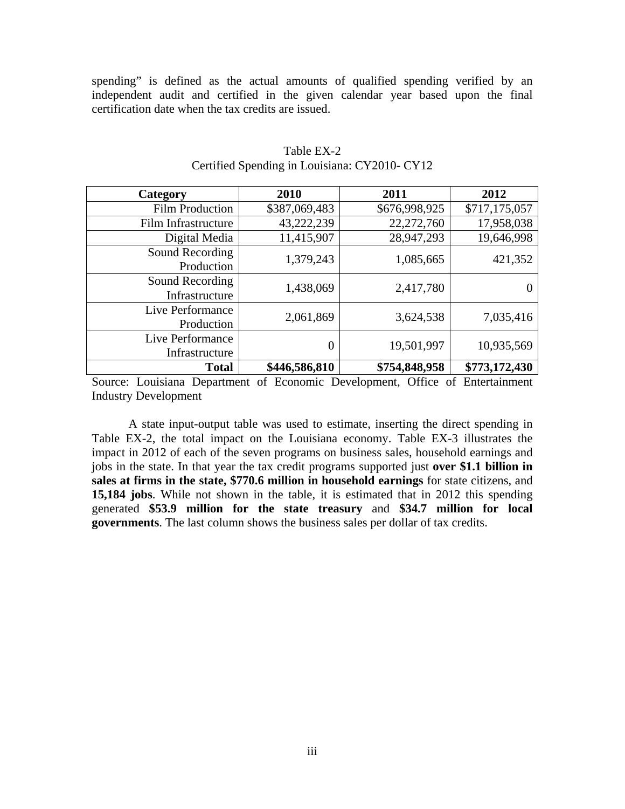spending" is defined as the actual amounts of qualified spending verified by an independent audit and certified in the given calendar year based upon the final certification date when the tax credits are issued.

| Category                           | 2010          | 2011          | 2012          |
|------------------------------------|---------------|---------------|---------------|
| <b>Film Production</b>             | \$387,069,483 | \$676,998,925 | \$717,175,057 |
| Film Infrastructure                | 43,222,239    | 22,272,760    | 17,958,038    |
| Digital Media                      | 11,415,907    | 28,947,293    | 19,646,998    |
| Sound Recording<br>Production      | 1,379,243     | 1,085,665     | 421,352       |
| Sound Recording<br>Infrastructure  | 1,438,069     | 2,417,780     |               |
| Live Performance<br>Production     | 2,061,869     | 3,624,538     | 7,035,416     |
| Live Performance<br>Infrastructure | 0             | 19,501,997    | 10,935,569    |
| <b>Total</b>                       | \$446,586,810 | \$754,848,958 | \$773,172,430 |

## Table EX-2 Certified Spending in Louisiana: CY2010- CY12

Source: Louisiana Department of Economic Development, Office of Entertainment Industry Development

A state input-output table was used to estimate, inserting the direct spending in Table EX-2, the total impact on the Louisiana economy. Table EX-3 illustrates the impact in 2012 of each of the seven programs on business sales, household earnings and jobs in the state. In that year the tax credit programs supported just **over \$1.1 billion in sales at firms in the state, \$770.6 million in household earnings** for state citizens, and **15,184 jobs**. While not shown in the table, it is estimated that in 2012 this spending generated **\$53.9 million for the state treasury** and **\$34.7 million for local governments**. The last column shows the business sales per dollar of tax credits.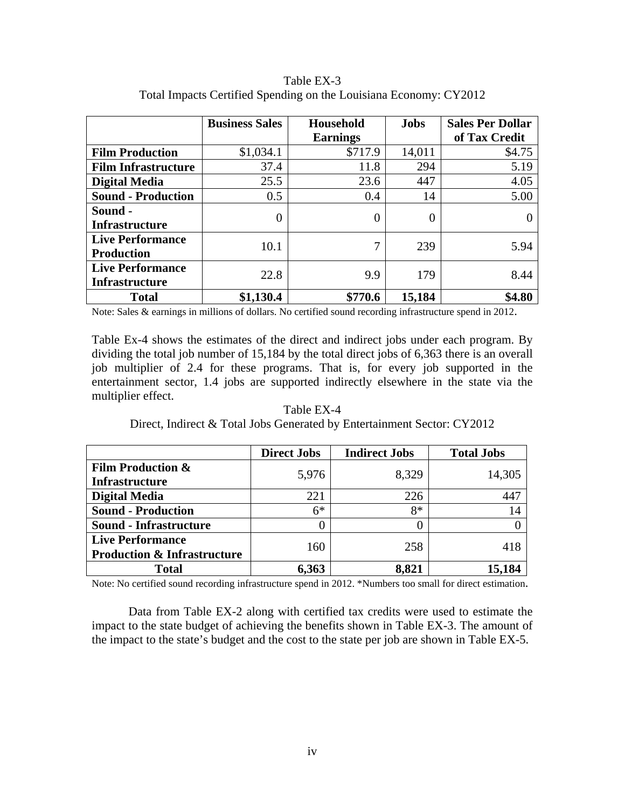|                            | <b>Business Sales</b> | Household       | <b>Jobs</b> | <b>Sales Per Dollar</b> |
|----------------------------|-----------------------|-----------------|-------------|-------------------------|
|                            |                       | <b>Earnings</b> |             | of Tax Credit           |
| <b>Film Production</b>     | \$1,034.1             | \$717.9         | 14,011      | \$4.75                  |
| <b>Film Infrastructure</b> | 37.4                  | 11.8            | 294         | 5.19                    |
| <b>Digital Media</b>       | 25.5                  | 23.6            | 447         | 4.05                    |
| <b>Sound - Production</b>  | 0.5                   | 0.4             | 14          | 5.00                    |
| Sound -                    | 0                     | 0               | 0           |                         |
| Infrastructure             |                       |                 |             |                         |
| <b>Live Performance</b>    | 10.1                  | 7               | 239         | 5.94                    |
| <b>Production</b>          |                       |                 |             |                         |
| <b>Live Performance</b>    | 22.8                  | 9.9             | 179         | 8.44                    |
| <b>Infrastructure</b>      |                       |                 |             |                         |
| <b>Total</b>               | \$1,130.4             | \$770.6         | 15,184      | \$4.80                  |

Table EX-3 Total Impacts Certified Spending on the Louisiana Economy: CY2012

Note: Sales & earnings in millions of dollars. No certified sound recording infrastructure spend in 2012.

Table Ex-4 shows the estimates of the direct and indirect jobs under each program. By dividing the total job number of 15,184 by the total direct jobs of 6,363 there is an overall job multiplier of 2.4 for these programs. That is, for every job supported in the entertainment sector, 1.4 jobs are supported indirectly elsewhere in the state via the multiplier effect.

Table EX-4 Direct, Indirect & Total Jobs Generated by Entertainment Sector: CY2012

|                                        | <b>Direct Jobs</b> | <b>Indirect Jobs</b> | <b>Total Jobs</b> |
|----------------------------------------|--------------------|----------------------|-------------------|
| <b>Film Production &amp;</b>           | 5,976              | 8,329                | 14,305            |
| <b>Infrastructure</b>                  |                    |                      |                   |
| <b>Digital Media</b>                   | 221                | 226                  | 447               |
| <b>Sound - Production</b>              | $6*$               | $8*$                 | 14                |
| <b>Sound - Infrastructure</b>          | 0                  | O                    |                   |
| <b>Live Performance</b>                | 160                | 258                  | 418               |
| <b>Production &amp; Infrastructure</b> |                    |                      |                   |
| <b>Total</b>                           | 6,363              | 8,821                | 15,184            |

Note: No certified sound recording infrastructure spend in 2012. \*Numbers too small for direct estimation.

 Data from Table EX-2 along with certified tax credits were used to estimate the impact to the state budget of achieving the benefits shown in Table EX-3. The amount of the impact to the state's budget and the cost to the state per job are shown in Table EX-5.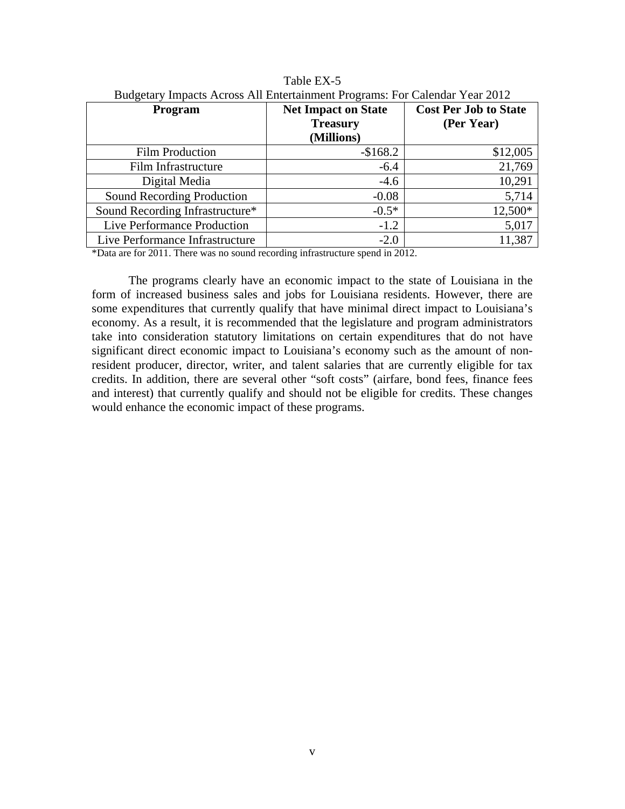| Program                         | <b>Net Impact on State</b><br><b>Treasury</b><br>(Millions) | <b>Cost Per Job to State</b><br>(Per Year) |
|---------------------------------|-------------------------------------------------------------|--------------------------------------------|
| <b>Film Production</b>          | $-$168.2$                                                   | \$12,005                                   |
| Film Infrastructure             | $-6.4$                                                      | 21,769                                     |
| Digital Media                   | $-4.6$                                                      | 10,291                                     |
| Sound Recording Production      | $-0.08$                                                     | 5,714                                      |
| Sound Recording Infrastructure* | $-0.5*$                                                     | 12,500*                                    |
| Live Performance Production     | $-1.2$                                                      | 5,017                                      |
| Live Performance Infrastructure | $-2.0$                                                      | 11,387                                     |

Table EX-5 Budgetary Impacts Across All Entertainment Programs: For Calendar Year 2012

\*Data are for 2011. There was no sound recording infrastructure spend in 2012.

 The programs clearly have an economic impact to the state of Louisiana in the form of increased business sales and jobs for Louisiana residents. However, there are some expenditures that currently qualify that have minimal direct impact to Louisiana's economy. As a result, it is recommended that the legislature and program administrators take into consideration statutory limitations on certain expenditures that do not have significant direct economic impact to Louisiana's economy such as the amount of nonresident producer, director, writer, and talent salaries that are currently eligible for tax credits. In addition, there are several other "soft costs" (airfare, bond fees, finance fees and interest) that currently qualify and should not be eligible for credits. These changes would enhance the economic impact of these programs.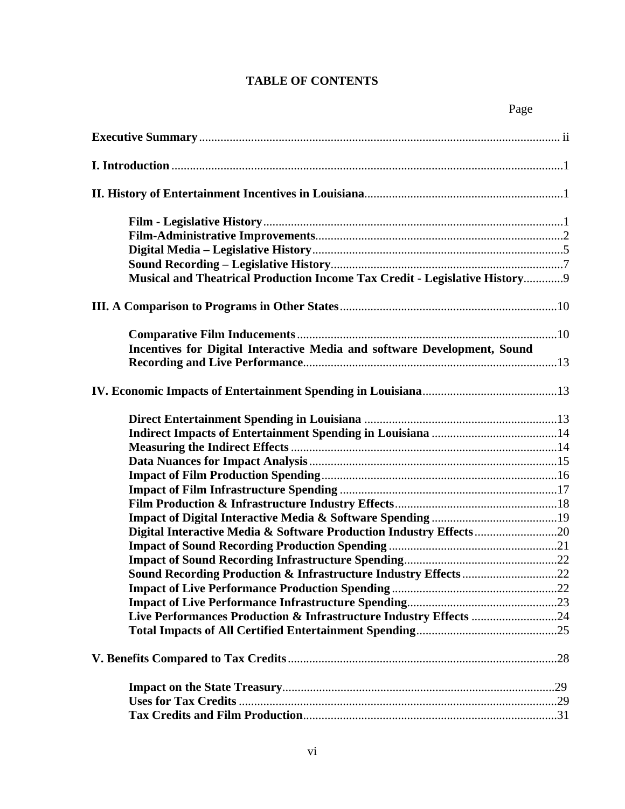# **TABLE OF CONTENTS**

| Musical and Theatrical Production Income Tax Credit - Legislative History9 |
|----------------------------------------------------------------------------|
|                                                                            |
|                                                                            |
|                                                                            |
| Incentives for Digital Interactive Media and software Development, Sound   |
|                                                                            |
|                                                                            |
|                                                                            |
|                                                                            |
|                                                                            |
|                                                                            |
|                                                                            |
|                                                                            |
|                                                                            |
|                                                                            |
|                                                                            |
|                                                                            |
|                                                                            |
|                                                                            |
|                                                                            |
|                                                                            |
| Live Performances Production & Infrastructure Industry Effects 24          |
|                                                                            |
|                                                                            |
|                                                                            |
|                                                                            |
|                                                                            |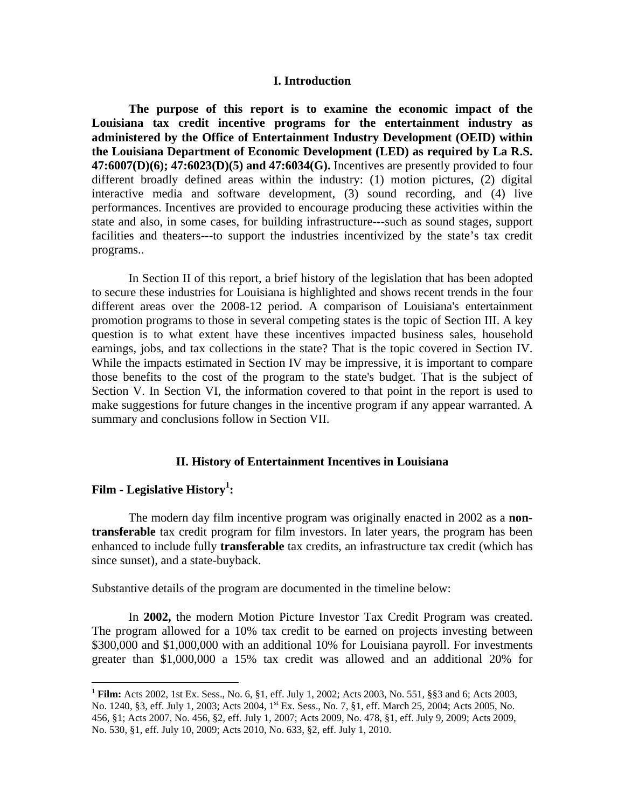#### **I. Introduction**

 **The purpose of this report is to examine the economic impact of the Louisiana tax credit incentive programs for the entertainment industry as administered by the Office of Entertainment Industry Development (OEID) within the Louisiana Department of Economic Development (LED) as required by La R.S. 47:6007(D)(6); 47:6023(D)(5) and 47:6034(G).** Incentives are presently provided to four different broadly defined areas within the industry: (1) motion pictures, (2) digital interactive media and software development, (3) sound recording, and (4) live performances. Incentives are provided to encourage producing these activities within the state and also, in some cases, for building infrastructure---such as sound stages, support facilities and theaters---to support the industries incentivized by the state's tax credit programs..

 In Section II of this report, a brief history of the legislation that has been adopted to secure these industries for Louisiana is highlighted and shows recent trends in the four different areas over the 2008-12 period. A comparison of Louisiana's entertainment promotion programs to those in several competing states is the topic of Section III. A key question is to what extent have these incentives impacted business sales, household earnings, jobs, and tax collections in the state? That is the topic covered in Section IV. While the impacts estimated in Section IV may be impressive, it is important to compare those benefits to the cost of the program to the state's budget. That is the subject of Section V. In Section VI, the information covered to that point in the report is used to make suggestions for future changes in the incentive program if any appear warranted. A summary and conclusions follow in Section VII.

#### **II. History of Entertainment Incentives in Louisiana**

# **Film - Legislative History1 :**

 $\overline{a}$ 

 The modern day film incentive program was originally enacted in 2002 as a **nontransferable** tax credit program for film investors. In later years, the program has been enhanced to include fully **transferable** tax credits, an infrastructure tax credit (which has since sunset), and a state-buyback.

Substantive details of the program are documented in the timeline below:

 In **2002,** the modern Motion Picture Investor Tax Credit Program was created. The program allowed for a 10% tax credit to be earned on projects investing between \$300,000 and \$1,000,000 with an additional 10% for Louisiana payroll. For investments greater than \$1,000,000 a 15% tax credit was allowed and an additional 20% for

<sup>1</sup> **Film:** Acts 2002, 1st Ex. Sess., No. 6, §1, eff. July 1, 2002; Acts 2003, No. 551, §§3 and 6; Acts 2003, No. 1240, §3, eff. July 1, 2003; Acts 2004, 1<sup>st</sup> Ex. Sess., No. 7, §1, eff. March 25, 2004; Acts 2005, No. 456, §1; Acts 2007, No. 456, §2, eff. July 1, 2007; Acts 2009, No. 478, §1, eff. July 9, 2009; Acts 2009, No. 530, §1, eff. July 10, 2009; Acts 2010, No. 633, §2, eff. July 1, 2010.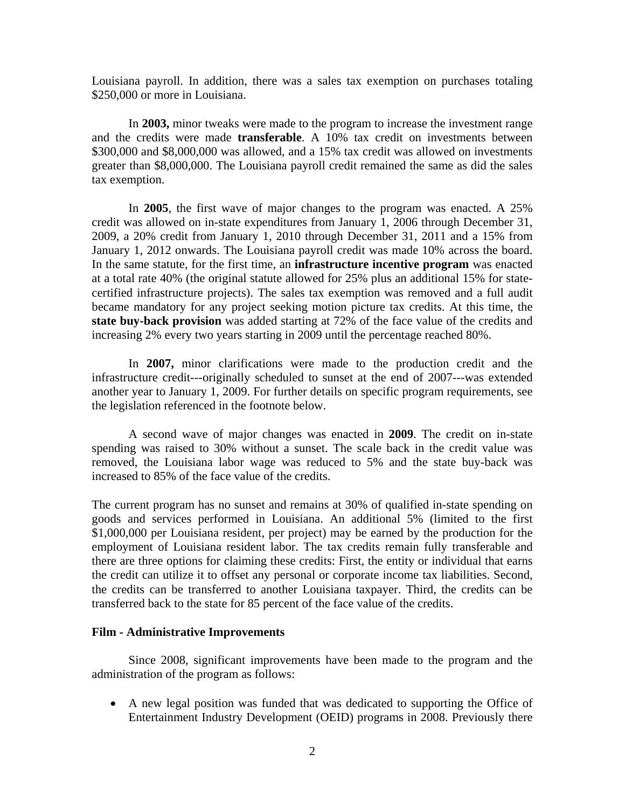Louisiana payroll. In addition, there was a sales tax exemption on purchases totaling \$250,000 or more in Louisiana.

 In **2003,** minor tweaks were made to the program to increase the investment range and the credits were made **transferable**. A 10% tax credit on investments between \$300,000 and \$8,000,000 was allowed, and a 15% tax credit was allowed on investments greater than \$8,000,000. The Louisiana payroll credit remained the same as did the sales tax exemption.

 In **2005**, the first wave of major changes to the program was enacted. A 25% credit was allowed on in-state expenditures from January 1, 2006 through December 31, 2009, a 20% credit from January 1, 2010 through December 31, 2011 and a 15% from January 1, 2012 onwards. The Louisiana payroll credit was made 10% across the board. In the same statute, for the first time, an **infrastructure incentive program** was enacted at a total rate 40% (the original statute allowed for 25% plus an additional 15% for statecertified infrastructure projects). The sales tax exemption was removed and a full audit became mandatory for any project seeking motion picture tax credits. At this time, the **state buy-back provision** was added starting at 72% of the face value of the credits and increasing 2% every two years starting in 2009 until the percentage reached 80%.

 In **2007,** minor clarifications were made to the production credit and the infrastructure credit---originally scheduled to sunset at the end of 2007---was extended another year to January 1, 2009. For further details on specific program requirements, see the legislation referenced in the footnote below.

 A second wave of major changes was enacted in **2009**. The credit on in-state spending was raised to 30% without a sunset. The scale back in the credit value was removed, the Louisiana labor wage was reduced to 5% and the state buy-back was increased to 85% of the face value of the credits.

The current program has no sunset and remains at 30% of qualified in-state spending on goods and services performed in Louisiana. An additional 5% (limited to the first \$1,000,000 per Louisiana resident, per project) may be earned by the production for the employment of Louisiana resident labor. The tax credits remain fully transferable and there are three options for claiming these credits: First, the entity or individual that earns the credit can utilize it to offset any personal or corporate income tax liabilities. Second, the credits can be transferred to another Louisiana taxpayer. Third, the credits can be transferred back to the state for 85 percent of the face value of the credits.

#### **Film - Administrative Improvements**

 Since 2008, significant improvements have been made to the program and the administration of the program as follows:

 A new legal position was funded that was dedicated to supporting the Office of Entertainment Industry Development (OEID) programs in 2008. Previously there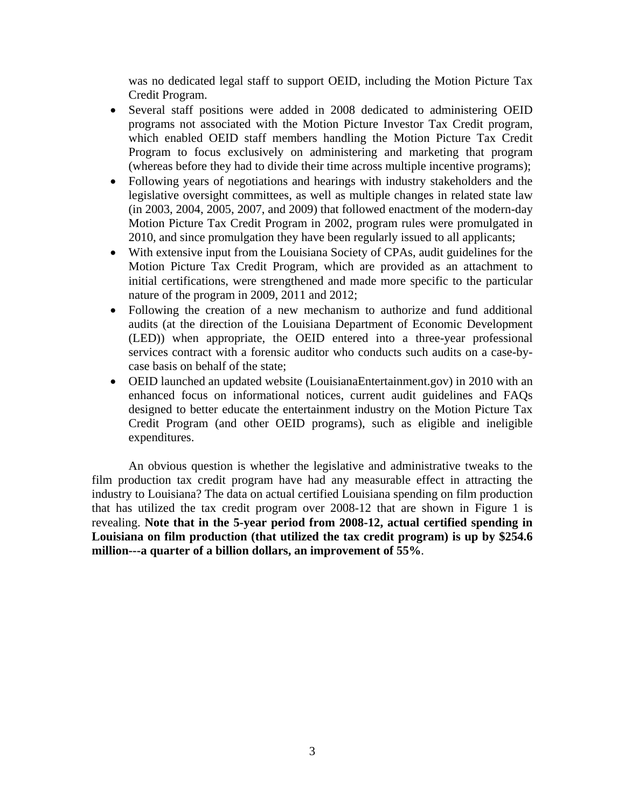was no dedicated legal staff to support OEID, including the Motion Picture Tax Credit Program.

- Several staff positions were added in 2008 dedicated to administering OEID programs not associated with the Motion Picture Investor Tax Credit program, which enabled OEID staff members handling the Motion Picture Tax Credit Program to focus exclusively on administering and marketing that program (whereas before they had to divide their time across multiple incentive programs);
- Following years of negotiations and hearings with industry stakeholders and the legislative oversight committees, as well as multiple changes in related state law (in 2003, 2004, 2005, 2007, and 2009) that followed enactment of the modern-day Motion Picture Tax Credit Program in 2002, program rules were promulgated in 2010, and since promulgation they have been regularly issued to all applicants;
- With extensive input from the Louisiana Society of CPAs, audit guidelines for the Motion Picture Tax Credit Program, which are provided as an attachment to initial certifications, were strengthened and made more specific to the particular nature of the program in 2009, 2011 and 2012;
- Following the creation of a new mechanism to authorize and fund additional audits (at the direction of the Louisiana Department of Economic Development (LED)) when appropriate, the OEID entered into a three-year professional services contract with a forensic auditor who conducts such audits on a case-bycase basis on behalf of the state;
- OEID launched an updated website (LouisianaEntertainment.gov) in 2010 with an enhanced focus on informational notices, current audit guidelines and FAQs designed to better educate the entertainment industry on the Motion Picture Tax Credit Program (and other OEID programs), such as eligible and ineligible expenditures.

An obvious question is whether the legislative and administrative tweaks to the film production tax credit program have had any measurable effect in attracting the industry to Louisiana? The data on actual certified Louisiana spending on film production that has utilized the tax credit program over 2008-12 that are shown in Figure 1 is revealing. **Note that in the 5-year period from 2008-12, actual certified spending in Louisiana on film production (that utilized the tax credit program) is up by \$254.6 million---a quarter of a billion dollars, an improvement of 55%**.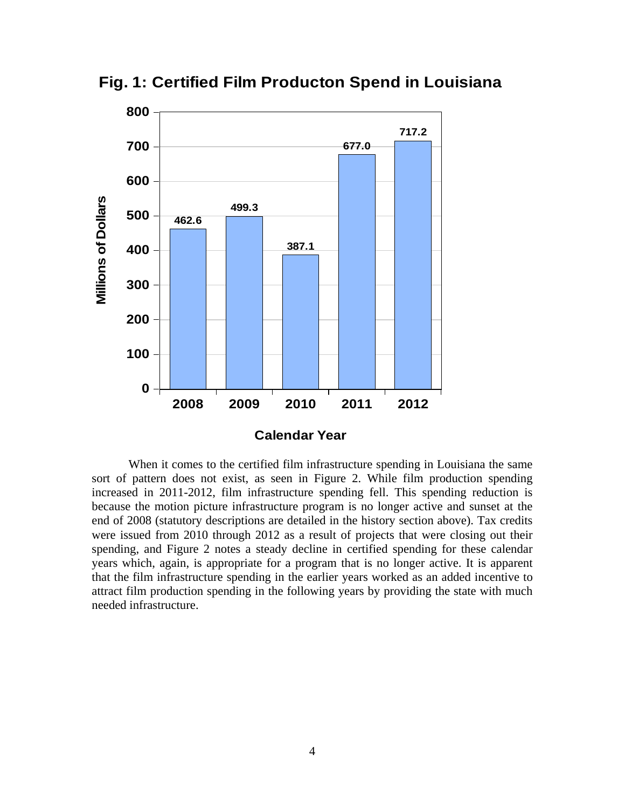

**Fig. 1: Certified Film Producton Spend in Louisiana**

 When it comes to the certified film infrastructure spending in Louisiana the same sort of pattern does not exist, as seen in Figure 2. While film production spending increased in 2011-2012, film infrastructure spending fell. This spending reduction is because the motion picture infrastructure program is no longer active and sunset at the end of 2008 (statutory descriptions are detailed in the history section above). Tax credits were issued from 2010 through 2012 as a result of projects that were closing out their spending, and Figure 2 notes a steady decline in certified spending for these calendar years which, again, is appropriate for a program that is no longer active. It is apparent that the film infrastructure spending in the earlier years worked as an added incentive to attract film production spending in the following years by providing the state with much needed infrastructure.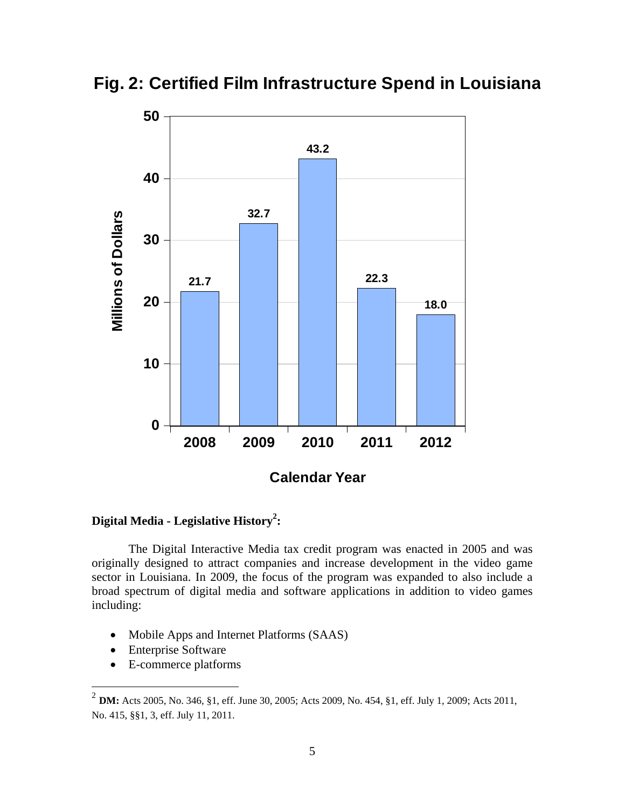

**Fig. 2: Certified Film Infrastructure Spend in Louisiana**

# **Digital Media - Legislative History2 :**

 The Digital Interactive Media tax credit program was enacted in 2005 and was originally designed to attract companies and increase development in the video game sector in Louisiana. In 2009, the focus of the program was expanded to also include a broad spectrum of digital media and software applications in addition to video games including:

- Mobile Apps and Internet Platforms (SAAS)
- Enterprise Software

1

E-commerce platforms

<sup>2</sup> **DM:** Acts 2005, No. 346, §1, eff. June 30, 2005; Acts 2009, No. 454, §1, eff. July 1, 2009; Acts 2011, No. 415, §§1, 3, eff. July 11, 2011.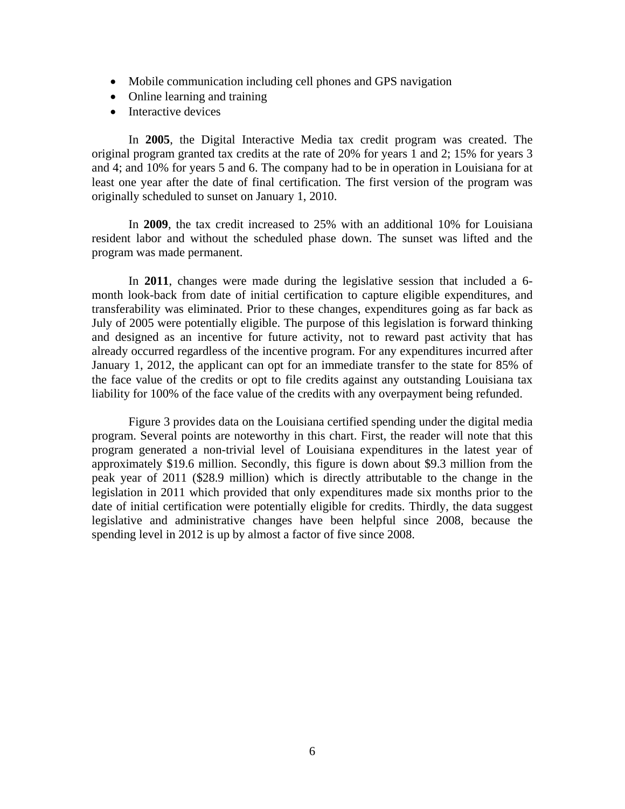- Mobile communication including cell phones and GPS navigation
- Online learning and training
- Interactive devices

 In **2005**, the Digital Interactive Media tax credit program was created. The original program granted tax credits at the rate of 20% for years 1 and 2; 15% for years 3 and 4; and 10% for years 5 and 6. The company had to be in operation in Louisiana for at least one year after the date of final certification. The first version of the program was originally scheduled to sunset on January 1, 2010.

 In **2009**, the tax credit increased to 25% with an additional 10% for Louisiana resident labor and without the scheduled phase down. The sunset was lifted and the program was made permanent.

 In **2011**, changes were made during the legislative session that included a 6 month look-back from date of initial certification to capture eligible expenditures, and transferability was eliminated. Prior to these changes, expenditures going as far back as July of 2005 were potentially eligible. The purpose of this legislation is forward thinking and designed as an incentive for future activity, not to reward past activity that has already occurred regardless of the incentive program. For any expenditures incurred after January 1, 2012, the applicant can opt for an immediate transfer to the state for 85% of the face value of the credits or opt to file credits against any outstanding Louisiana tax liability for 100% of the face value of the credits with any overpayment being refunded.

 Figure 3 provides data on the Louisiana certified spending under the digital media program. Several points are noteworthy in this chart. First, the reader will note that this program generated a non-trivial level of Louisiana expenditures in the latest year of approximately \$19.6 million. Secondly, this figure is down about \$9.3 million from the peak year of 2011 (\$28.9 million) which is directly attributable to the change in the legislation in 2011 which provided that only expenditures made six months prior to the date of initial certification were potentially eligible for credits. Thirdly, the data suggest legislative and administrative changes have been helpful since 2008, because the spending level in 2012 is up by almost a factor of five since 2008.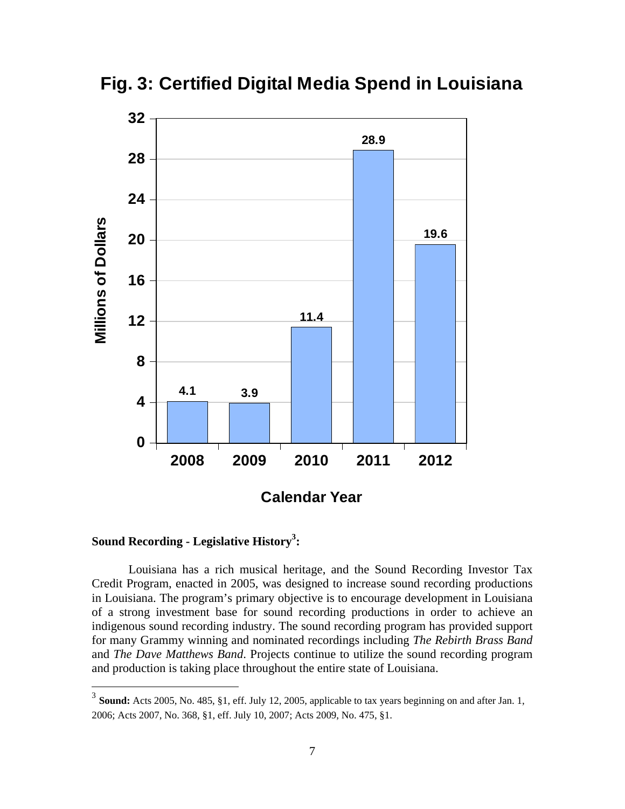**Fig. 3: Certified Digital Media Spend in Louisiana**



**Sound Recording - Legislative History3 :** 

1

 Louisiana has a rich musical heritage, and the Sound Recording Investor Tax Credit Program, enacted in 2005, was designed to increase sound recording productions in Louisiana. The program's primary objective is to encourage development in Louisiana of a strong investment base for sound recording productions in order to achieve an indigenous sound recording industry. The sound recording program has provided support for many Grammy winning and nominated recordings including *The Rebirth Brass Band* and *The Dave Matthews Band*. Projects continue to utilize the sound recording program and production is taking place throughout the entire state of Louisiana.

<sup>&</sup>lt;sup>3</sup> **Sound:** Acts 2005, No. 485, §1, eff. July 12, 2005, applicable to tax years beginning on and after Jan. 1, 2006; Acts 2007, No. 368, §1, eff. July 10, 2007; Acts 2009, No. 475, §1.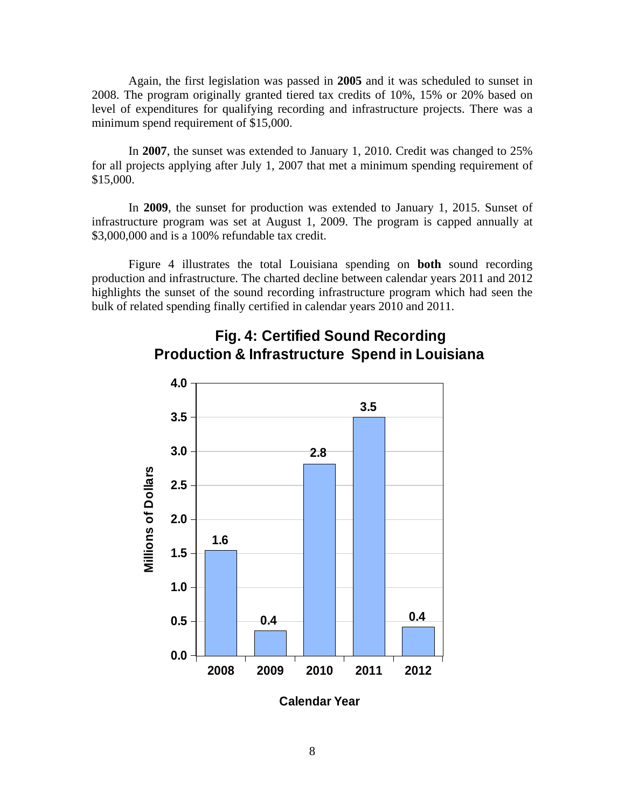Again, the first legislation was passed in **2005** and it was scheduled to sunset in 2008. The program originally granted tiered tax credits of 10%, 15% or 20% based on level of expenditures for qualifying recording and infrastructure projects. There was a minimum spend requirement of \$15,000.

 In **2007**, the sunset was extended to January 1, 2010. Credit was changed to 25% for all projects applying after July 1, 2007 that met a minimum spending requirement of \$15,000.

 In **2009**, the sunset for production was extended to January 1, 2015. Sunset of infrastructure program was set at August 1, 2009. The program is capped annually at \$3,000,000 and is a 100% refundable tax credit.

 Figure 4 illustrates the total Louisiana spending on **both** sound recording production and infrastructure. The charted decline between calendar years 2011 and 2012 highlights the sunset of the sound recording infrastructure program which had seen the bulk of related spending finally certified in calendar years 2010 and 2011.



# **Fig. 4: Certified Sound Recording Production & Infrastructure Spend in Louisiana**

**Calendar Year**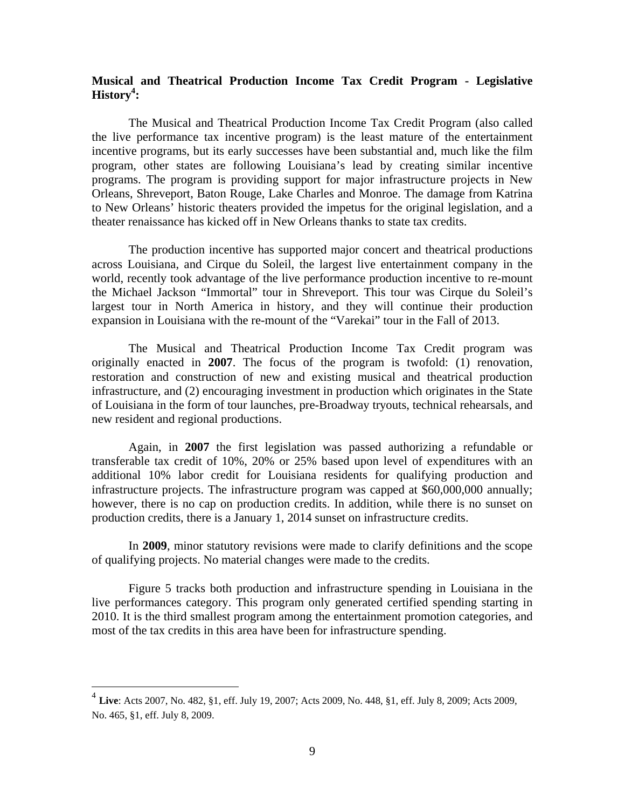## **Musical and Theatrical Production Income Tax Credit Program - Legislative History4 :**

 The Musical and Theatrical Production Income Tax Credit Program (also called the live performance tax incentive program) is the least mature of the entertainment incentive programs, but its early successes have been substantial and, much like the film program, other states are following Louisiana's lead by creating similar incentive programs. The program is providing support for major infrastructure projects in New Orleans, Shreveport, Baton Rouge, Lake Charles and Monroe. The damage from Katrina to New Orleans' historic theaters provided the impetus for the original legislation, and a theater renaissance has kicked off in New Orleans thanks to state tax credits.

 The production incentive has supported major concert and theatrical productions across Louisiana, and Cirque du Soleil, the largest live entertainment company in the world, recently took advantage of the live performance production incentive to re-mount the Michael Jackson "Immortal" tour in Shreveport. This tour was Cirque du Soleil's largest tour in North America in history, and they will continue their production expansion in Louisiana with the re-mount of the "Varekai" tour in the Fall of 2013.

The Musical and Theatrical Production Income Tax Credit program was originally enacted in **2007**. The focus of the program is twofold: (1) renovation, restoration and construction of new and existing musical and theatrical production infrastructure, and (2) encouraging investment in production which originates in the State of Louisiana in the form of tour launches, pre-Broadway tryouts, technical rehearsals, and new resident and regional productions.

Again, in **2007** the first legislation was passed authorizing a refundable or transferable tax credit of 10%, 20% or 25% based upon level of expenditures with an additional 10% labor credit for Louisiana residents for qualifying production and infrastructure projects. The infrastructure program was capped at \$60,000,000 annually; however, there is no cap on production credits. In addition, while there is no sunset on production credits, there is a January 1, 2014 sunset on infrastructure credits.

 In **2009**, minor statutory revisions were made to clarify definitions and the scope of qualifying projects. No material changes were made to the credits.

 Figure 5 tracks both production and infrastructure spending in Louisiana in the live performances category. This program only generated certified spending starting in 2010. It is the third smallest program among the entertainment promotion categories, and most of the tax credits in this area have been for infrastructure spending.

 $\overline{a}$ 

<sup>4</sup> **Live**: Acts 2007, No. 482, §1, eff. July 19, 2007; Acts 2009, No. 448, §1, eff. July 8, 2009; Acts 2009, No. 465, §1, eff. July 8, 2009.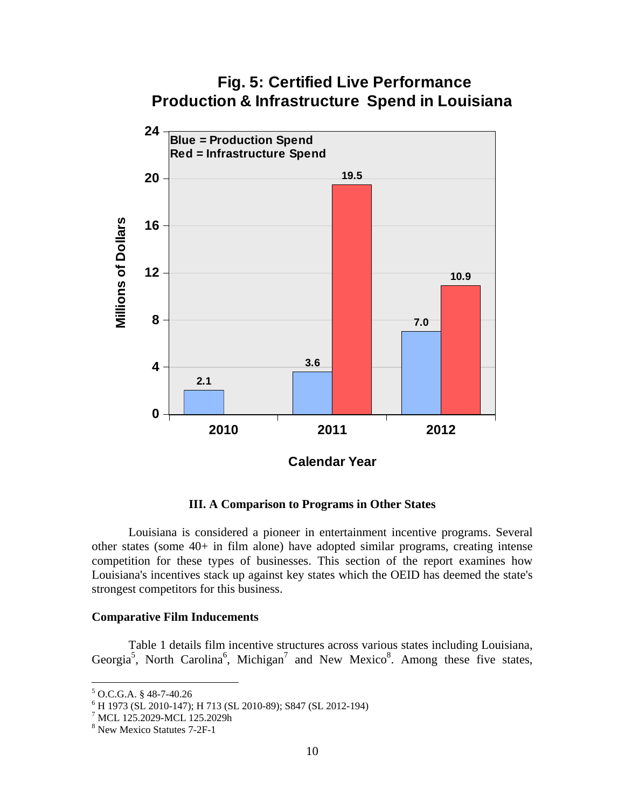# **Fig. 5: Certified Live Performance Production & Infrastructure Spend in Louisiana 24 Blue = Production Spend Red = Infrastructure Spend19.5 20 Millions of Dollars Millions of Dollars 16 12 10.9 8 7.0 3.6 4 2.1**

**III. A Comparison to Programs in Other States** 

**2010 2011 2012**

**Calendar Year**

 Louisiana is considered a pioneer in entertainment incentive programs. Several other states (some 40+ in film alone) have adopted similar programs, creating intense competition for these types of businesses. This section of the report examines how Louisiana's incentives stack up against key states which the OEID has deemed the state's strongest competitors for this business.

#### **Comparative Film Inducements**

**0**

Table 1 details film incentive structures across various states including Louisiana, Georgia<sup>5</sup>, North Carolina<sup>6</sup>, Michigan<sup>7</sup> and New Mexico<sup>8</sup>. Among these five states,

 $\overline{a}$ 

 $5$  O.C.G.A. § 48-7-40.26

<sup>6</sup> H 1973 (SL 2010-147); H 713 (SL 2010-89); S847 (SL 2012-194)

<sup>7</sup> MCL 125.2029-MCL 125.2029h

<sup>8</sup> New Mexico Statutes 7-2F-1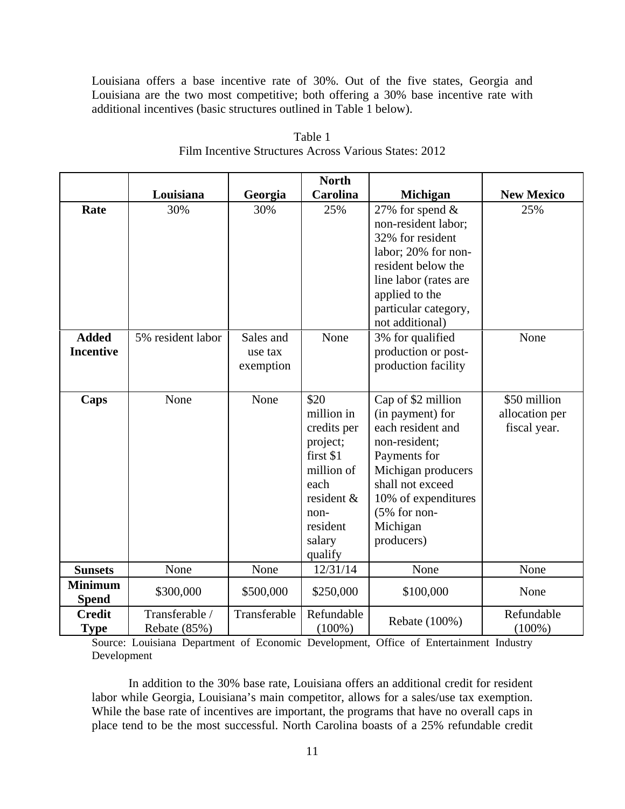Louisiana offers a base incentive rate of 30%. Out of the five states, Georgia and Louisiana are the two most competitive; both offering a 30% base incentive rate with additional incentives (basic structures outlined in Table 1 below).

|                                  |                                |                                   | <b>North</b>                                                                                                                            |                                                                                                                                                                                                           |                                                |
|----------------------------------|--------------------------------|-----------------------------------|-----------------------------------------------------------------------------------------------------------------------------------------|-----------------------------------------------------------------------------------------------------------------------------------------------------------------------------------------------------------|------------------------------------------------|
|                                  | Louisiana                      | Georgia                           | <b>Carolina</b>                                                                                                                         | <b>Michigan</b>                                                                                                                                                                                           | <b>New Mexico</b>                              |
| Rate                             | 30%                            | 30%                               | 25%                                                                                                                                     | 27% for spend $&$<br>non-resident labor;<br>32% for resident<br>labor; 20% for non-<br>resident below the<br>line labor (rates are<br>applied to the<br>particular category,<br>not additional)           | 25%                                            |
| <b>Added</b><br><b>Incentive</b> | 5% resident labor              | Sales and<br>use tax<br>exemption | None                                                                                                                                    | 3% for qualified<br>production or post-<br>production facility                                                                                                                                            | None                                           |
| Caps                             | None                           | None                              | \$20<br>million in<br>credits per<br>project;<br>first \$1<br>million of<br>each<br>resident &<br>non-<br>resident<br>salary<br>qualify | Cap of \$2 million<br>(in payment) for<br>each resident and<br>non-resident;<br>Payments for<br>Michigan producers<br>shall not exceed<br>10% of expenditures<br>$(5%$ for non-<br>Michigan<br>producers) | \$50 million<br>allocation per<br>fiscal year. |
| <b>Sunsets</b>                   | None                           | None                              | 12/31/14                                                                                                                                | None                                                                                                                                                                                                      | None                                           |
| <b>Minimum</b><br><b>Spend</b>   | \$300,000                      | \$500,000                         | \$250,000                                                                                                                               | \$100,000                                                                                                                                                                                                 | None                                           |
| <b>Credit</b><br><b>Type</b>     | Transferable /<br>Rebate (85%) | Transferable                      | Refundable<br>$(100\%)$                                                                                                                 | Rebate (100%)                                                                                                                                                                                             | Refundable<br>$(100\%)$                        |

Table 1 Film Incentive Structures Across Various States: 2012

Source: Louisiana Department of Economic Development, Office of Entertainment Industry Development

 In addition to the 30% base rate, Louisiana offers an additional credit for resident labor while Georgia, Louisiana's main competitor, allows for a sales/use tax exemption. While the base rate of incentives are important, the programs that have no overall caps in place tend to be the most successful. North Carolina boasts of a 25% refundable credit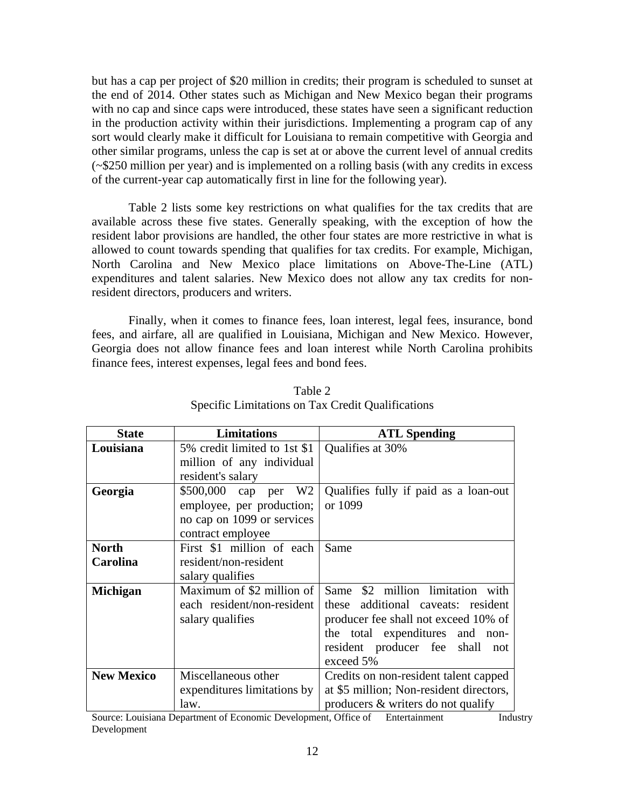but has a cap per project of \$20 million in credits; their program is scheduled to sunset at the end of 2014. Other states such as Michigan and New Mexico began their programs with no cap and since caps were introduced, these states have seen a significant reduction in the production activity within their jurisdictions. Implementing a program cap of any sort would clearly make it difficult for Louisiana to remain competitive with Georgia and other similar programs, unless the cap is set at or above the current level of annual credits (~\$250 million per year) and is implemented on a rolling basis (with any credits in excess of the current-year cap automatically first in line for the following year).

 Table 2 lists some key restrictions on what qualifies for the tax credits that are available across these five states. Generally speaking, with the exception of how the resident labor provisions are handled, the other four states are more restrictive in what is allowed to count towards spending that qualifies for tax credits. For example, Michigan, North Carolina and New Mexico place limitations on Above-The-Line (ATL) expenditures and talent salaries. New Mexico does not allow any tax credits for nonresident directors, producers and writers.

 Finally, when it comes to finance fees, loan interest, legal fees, insurance, bond fees, and airfare, all are qualified in Louisiana, Michigan and New Mexico. However, Georgia does not allow finance fees and loan interest while North Carolina prohibits finance fees, interest expenses, legal fees and bond fees.

| <b>State</b>      | <b>Limitations</b>                                                     | <b>ATL Spending</b>                   |  |
|-------------------|------------------------------------------------------------------------|---------------------------------------|--|
| Louisiana         | 5% credit limited to 1st \$1                                           | Qualifies at 30%                      |  |
|                   | million of any individual                                              |                                       |  |
|                   | resident's salary                                                      |                                       |  |
| Georgia           | \$500,000 cap per W2                                                   | Qualifies fully if paid as a loan-out |  |
|                   | employee, per production;                                              | or 1099                               |  |
|                   | no cap on 1099 or services                                             |                                       |  |
|                   | contract employee                                                      |                                       |  |
| <b>North</b>      | First \$1 million of each                                              | Same                                  |  |
| Carolina          | resident/non-resident                                                  |                                       |  |
|                   | salary qualifies                                                       |                                       |  |
| <b>Michigan</b>   | Maximum of \$2 million of                                              | \$2 million limitation with<br>Same   |  |
|                   | each resident/non-resident                                             | additional caveats: resident<br>these |  |
|                   | salary qualifies                                                       | producer fee shall not exceed 10% of  |  |
|                   |                                                                        | the total expenditures and non-       |  |
|                   |                                                                        | resident producer fee shall not       |  |
|                   |                                                                        | exceed 5%                             |  |
| <b>New Mexico</b> | Miscellaneous other                                                    | Credits on non-resident talent capped |  |
|                   | at \$5 million; Non-resident directors,<br>expenditures limitations by |                                       |  |
|                   | law.                                                                   | producers & writers do not qualify    |  |

Table 2 Specific Limitations on Tax Credit Qualifications

Source: Louisiana Department of Economic Development, Office of Entertainment Industry Development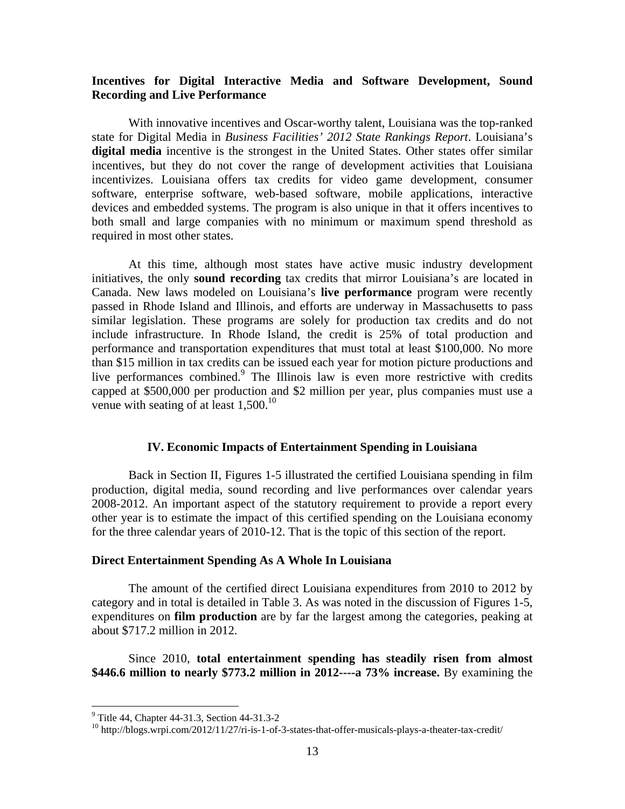## **Incentives for Digital Interactive Media and Software Development, Sound Recording and Live Performance**

With innovative incentives and Oscar-worthy talent, Louisiana was the top-ranked state for Digital Media in *Business Facilities' 2012 State Rankings Report*. Louisiana's **digital media** incentive is the strongest in the United States. Other states offer similar incentives, but they do not cover the range of development activities that Louisiana incentivizes. Louisiana offers tax credits for video game development, consumer software, enterprise software, web-based software, mobile applications, interactive devices and embedded systems. The program is also unique in that it offers incentives to both small and large companies with no minimum or maximum spend threshold as required in most other states.

At this time, although most states have active music industry development initiatives, the only **sound recording** tax credits that mirror Louisiana's are located in Canada. New laws modeled on Louisiana's **live performance** program were recently passed in Rhode Island and Illinois, and efforts are underway in Massachusetts to pass similar legislation. These programs are solely for production tax credits and do not include infrastructure. In Rhode Island, the credit is 25% of total production and performance and transportation expenditures that must total at least \$100,000. No more than \$15 million in tax credits can be issued each year for motion picture productions and live performances combined.<sup>9</sup> The Illinois law is even more restrictive with credits capped at \$500,000 per production and \$2 million per year, plus companies must use a venue with seating of at least  $1,500^{10}$ 

#### **IV. Economic Impacts of Entertainment Spending in Louisiana**

 Back in Section II, Figures 1-5 illustrated the certified Louisiana spending in film production, digital media, sound recording and live performances over calendar years 2008-2012. An important aspect of the statutory requirement to provide a report every other year is to estimate the impact of this certified spending on the Louisiana economy for the three calendar years of 2010-12. That is the topic of this section of the report.

#### **Direct Entertainment Spending As A Whole In Louisiana**

 The amount of the certified direct Louisiana expenditures from 2010 to 2012 by category and in total is detailed in Table 3. As was noted in the discussion of Figures 1-5, expenditures on **film production** are by far the largest among the categories, peaking at about \$717.2 million in 2012.

 Since 2010, **total entertainment spending has steadily risen from almost \$446.6 million to nearly \$773.2 million in 2012----a 73% increase.** By examining the

1

<sup>&</sup>lt;sup>9</sup> Title 44, Chapter 44-31.3, Section 44-31.3-2

<sup>&</sup>lt;sup>10</sup> http://blogs.wrpi.com/2012/11/27/ri-is-1-of-3-states-that-offer-musicals-plays-a-theater-tax-credit/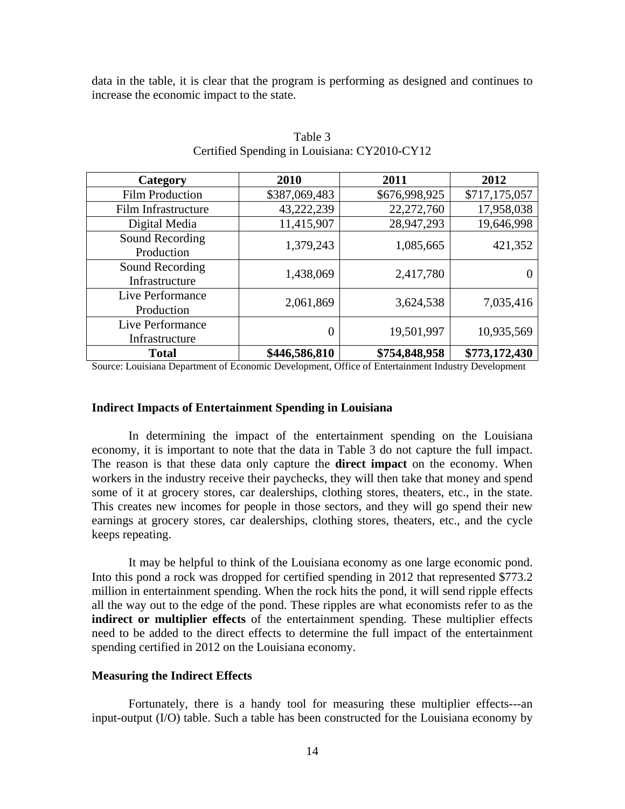data in the table, it is clear that the program is performing as designed and continues to increase the economic impact to the state.

| Category                           | 2010          | 2011          | 2012          |
|------------------------------------|---------------|---------------|---------------|
| <b>Film Production</b>             | \$387,069,483 | \$676,998,925 | \$717,175,057 |
| Film Infrastructure                | 43,222,239    | 22,272,760    | 17,958,038    |
| Digital Media                      | 11,415,907    | 28,947,293    | 19,646,998    |
| Sound Recording<br>Production      | 1,379,243     | 1,085,665     | 421,352       |
| Sound Recording<br>Infrastructure  | 1,438,069     | 2,417,780     |               |
| Live Performance<br>Production     | 2,061,869     | 3,624,538     | 7,035,416     |
| Live Performance<br>Infrastructure | 0             | 19,501,997    | 10,935,569    |
| <b>Total</b>                       | \$446,586,810 | \$754,848,958 | \$773,172,430 |

Table 3 Certified Spending in Louisiana: CY2010-CY12

Source: Louisiana Department of Economic Development, Office of Entertainment Industry Development

#### **Indirect Impacts of Entertainment Spending in Louisiana**

In determining the impact of the entertainment spending on the Louisiana economy, it is important to note that the data in Table 3 do not capture the full impact. The reason is that these data only capture the **direct impact** on the economy. When workers in the industry receive their paychecks, they will then take that money and spend some of it at grocery stores, car dealerships, clothing stores, theaters, etc., in the state. This creates new incomes for people in those sectors, and they will go spend their new earnings at grocery stores, car dealerships, clothing stores, theaters, etc., and the cycle keeps repeating.

 It may be helpful to think of the Louisiana economy as one large economic pond. Into this pond a rock was dropped for certified spending in 2012 that represented \$773.2 million in entertainment spending. When the rock hits the pond, it will send ripple effects all the way out to the edge of the pond. These ripples are what economists refer to as the **indirect or multiplier effects** of the entertainment spending. These multiplier effects need to be added to the direct effects to determine the full impact of the entertainment spending certified in 2012 on the Louisiana economy.

#### **Measuring the Indirect Effects**

Fortunately, there is a handy tool for measuring these multiplier effects---an input-output (I/O) table. Such a table has been constructed for the Louisiana economy by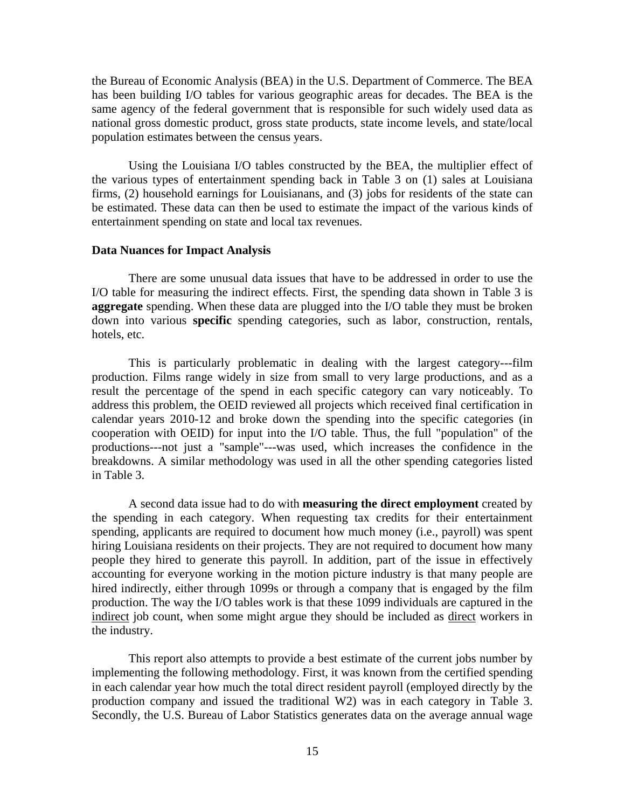the Bureau of Economic Analysis (BEA) in the U.S. Department of Commerce. The BEA has been building I/O tables for various geographic areas for decades. The BEA is the same agency of the federal government that is responsible for such widely used data as national gross domestic product, gross state products, state income levels, and state/local population estimates between the census years.

 Using the Louisiana I/O tables constructed by the BEA, the multiplier effect of the various types of entertainment spending back in Table 3 on (1) sales at Louisiana firms, (2) household earnings for Louisianans, and (3) jobs for residents of the state can be estimated. These data can then be used to estimate the impact of the various kinds of entertainment spending on state and local tax revenues.

#### **Data Nuances for Impact Analysis**

There are some unusual data issues that have to be addressed in order to use the I/O table for measuring the indirect effects. First, the spending data shown in Table 3 is **aggregate** spending. When these data are plugged into the I/O table they must be broken down into various **specific** spending categories, such as labor, construction, rentals, hotels, etc.

 This is particularly problematic in dealing with the largest category---film production. Films range widely in size from small to very large productions, and as a result the percentage of the spend in each specific category can vary noticeably. To address this problem, the OEID reviewed all projects which received final certification in calendar years 2010-12 and broke down the spending into the specific categories (in cooperation with OEID) for input into the I/O table. Thus, the full "population" of the productions---not just a "sample"---was used, which increases the confidence in the breakdowns. A similar methodology was used in all the other spending categories listed in Table 3.

 A second data issue had to do with **measuring the direct employment** created by the spending in each category. When requesting tax credits for their entertainment spending, applicants are required to document how much money (i.e., payroll) was spent hiring Louisiana residents on their projects. They are not required to document how many people they hired to generate this payroll. In addition, part of the issue in effectively accounting for everyone working in the motion picture industry is that many people are hired indirectly, either through 1099s or through a company that is engaged by the film production. The way the I/O tables work is that these 1099 individuals are captured in the indirect job count, when some might argue they should be included as direct workers in the industry.

 This report also attempts to provide a best estimate of the current jobs number by implementing the following methodology. First, it was known from the certified spending in each calendar year how much the total direct resident payroll (employed directly by the production company and issued the traditional W2) was in each category in Table 3. Secondly, the U.S. Bureau of Labor Statistics generates data on the average annual wage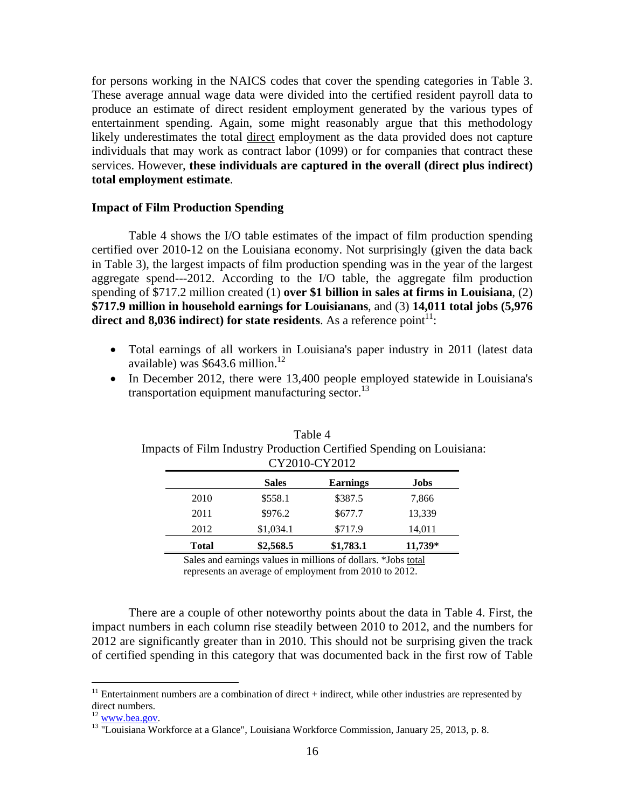for persons working in the NAICS codes that cover the spending categories in Table 3. These average annual wage data were divided into the certified resident payroll data to produce an estimate of direct resident employment generated by the various types of entertainment spending. Again, some might reasonably argue that this methodology likely underestimates the total direct employment as the data provided does not capture individuals that may work as contract labor (1099) or for companies that contract these services. However, **these individuals are captured in the overall (direct plus indirect) total employment estimate**.

#### **Impact of Film Production Spending**

Table 4 shows the I/O table estimates of the impact of film production spending certified over 2010-12 on the Louisiana economy. Not surprisingly (given the data back in Table 3), the largest impacts of film production spending was in the year of the largest aggregate spend---2012. According to the I/O table, the aggregate film production spending of \$717.2 million created (1) **over \$1 billion in sales at firms in Louisiana**, (2) **\$717.9 million in household earnings for Louisianans**, and (3) **14,011 total jobs (5,976**  direct and  $8,036$  indirect) for state residents. As a reference  $point<sup>11</sup>$ :

- Total earnings of all workers in Louisiana's paper industry in 2011 (latest data available) was  $$643.6$  million.<sup>12</sup>
- In December 2012, there were 13,400 people employed statewide in Louisiana's transportation equipment manufacturing sector. $^{13}$

|              |              | CY2010-CY2012 |           |
|--------------|--------------|---------------|-----------|
|              | <b>Sales</b> | Earnings      | Jobs      |
| 2010         | \$558.1      | \$387.5       | 7,866     |
| 2011         | \$976.2      | \$677.7       | 13,339    |
| 2012         | \$1,034.1    | \$717.9       | 14,011    |
| <b>Total</b> | \$2,568.5    | \$1,783.1     | $11,739*$ |

| Table 4                                                              |
|----------------------------------------------------------------------|
| Impacts of Film Industry Production Certified Spending on Louisiana: |
| CY2010-CY2012                                                        |

Sales and earnings values in millions of dollars. \*Jobs total represents an average of employment from 2010 to 2012.

 There are a couple of other noteworthy points about the data in Table 4. First, the impact numbers in each column rise steadily between 2010 to 2012, and the numbers for 2012 are significantly greater than in 2010. This should not be surprising given the track of certified spending in this category that was documented back in the first row of Table

 $\overline{a}$ 

 $11$  Entertainment numbers are a combination of direct + indirect, while other industries are represented by direct numbers.<br> $^{12}$  www.bea.gov.

<sup>&</sup>lt;sup>13</sup> "Louisiana Workforce at a Glance", Louisiana Workforce Commission, January 25, 2013, p. 8.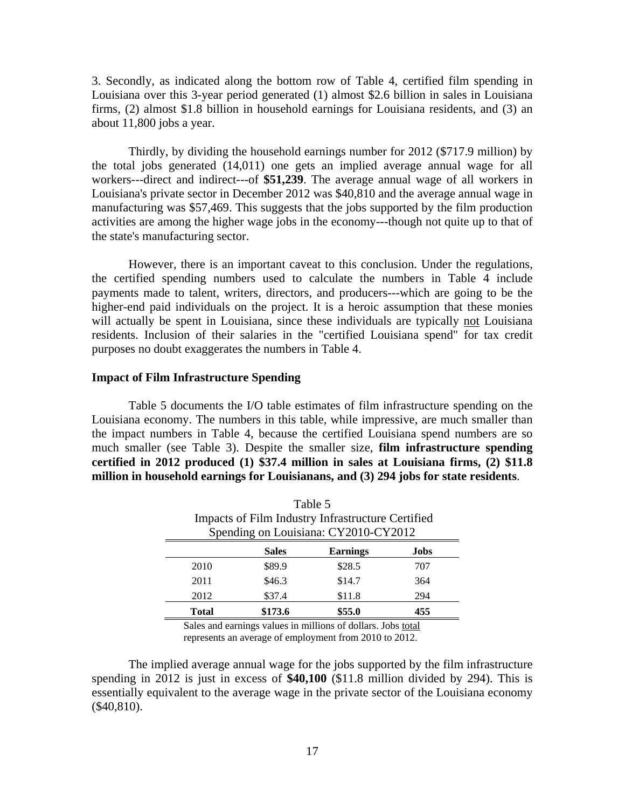3. Secondly, as indicated along the bottom row of Table 4, certified film spending in Louisiana over this 3-year period generated (1) almost \$2.6 billion in sales in Louisiana firms, (2) almost \$1.8 billion in household earnings for Louisiana residents, and (3) an about 11,800 jobs a year.

 Thirdly, by dividing the household earnings number for 2012 (\$717.9 million) by the total jobs generated (14,011) one gets an implied average annual wage for all workers---direct and indirect---of **\$51,239**. The average annual wage of all workers in Louisiana's private sector in December 2012 was \$40,810 and the average annual wage in manufacturing was \$57,469. This suggests that the jobs supported by the film production activities are among the higher wage jobs in the economy---though not quite up to that of the state's manufacturing sector.

 However, there is an important caveat to this conclusion. Under the regulations, the certified spending numbers used to calculate the numbers in Table 4 include payments made to talent, writers, directors, and producers---which are going to be the higher-end paid individuals on the project. It is a heroic assumption that these monies will actually be spent in Louisiana, since these individuals are typically not Louisiana residents. Inclusion of their salaries in the "certified Louisiana spend" for tax credit purposes no doubt exaggerates the numbers in Table 4.

#### **Impact of Film Infrastructure Spending**

Table 5 documents the I/O table estimates of film infrastructure spending on the Louisiana economy. The numbers in this table, while impressive, are much smaller than the impact numbers in Table 4, because the certified Louisiana spend numbers are so much smaller (see Table 3). Despite the smaller size, **film infrastructure spending certified in 2012 produced (1) \$37.4 million in sales at Louisiana firms, (2) \$11.8 million in household earnings for Louisianans, and (3) 294 jobs for state residents**.

|              |                                                   | Table 5                              |     |  |  |  |
|--------------|---------------------------------------------------|--------------------------------------|-----|--|--|--|
|              | Impacts of Film Industry Infrastructure Certified |                                      |     |  |  |  |
|              |                                                   | Spending on Louisiana: CY2010-CY2012 |     |  |  |  |
|              | <b>Earnings</b><br><b>Sales</b><br>Jobs           |                                      |     |  |  |  |
| 2010         | \$89.9                                            | \$28.5                               | 707 |  |  |  |
| 2011         | \$46.3                                            | \$14.7                               | 364 |  |  |  |
| 2012         | \$37.4                                            | \$11.8                               | 294 |  |  |  |
| <b>Total</b> | \$173.6                                           | \$55.0                               | 455 |  |  |  |

Sales and earnings values in millions of dollars. Jobs total represents an average of employment from 2010 to 2012.

 The implied average annual wage for the jobs supported by the film infrastructure spending in 2012 is just in excess of **\$40,100** (\$11.8 million divided by 294). This is essentially equivalent to the average wage in the private sector of the Louisiana economy (\$40,810).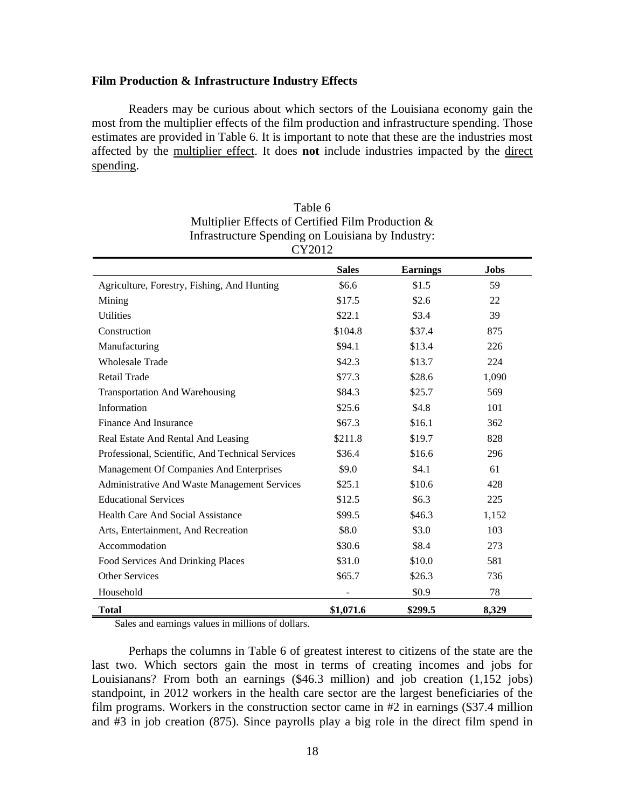#### **Film Production & Infrastructure Industry Effects**

Readers may be curious about which sectors of the Louisiana economy gain the most from the multiplier effects of the film production and infrastructure spending. Those estimates are provided in Table 6. It is important to note that these are the industries most affected by the multiplier effect. It does **not** include industries impacted by the direct spending.

| ⊂ ⊥ ∠∪ ⊥ ∠                                          |              |                 |             |
|-----------------------------------------------------|--------------|-----------------|-------------|
|                                                     | <b>Sales</b> | <b>Earnings</b> | <b>Jobs</b> |
| Agriculture, Forestry, Fishing, And Hunting         | \$6.6        | \$1.5           | 59          |
| Mining                                              | \$17.5       | \$2.6           | 22          |
| <b>Utilities</b>                                    | \$22.1       | \$3.4           | 39          |
| Construction                                        | \$104.8      | \$37.4          | 875         |
| Manufacturing                                       | \$94.1       | \$13.4          | 226         |
| <b>Wholesale Trade</b>                              | \$42.3       | \$13.7          | 224         |
| Retail Trade                                        | \$77.3       | \$28.6          | 1,090       |
| <b>Transportation And Warehousing</b>               | \$84.3       | \$25.7          | 569         |
| Information                                         | \$25.6       | \$4.8           | 101         |
| Finance And Insurance                               | \$67.3       | \$16.1          | 362         |
| Real Estate And Rental And Leasing                  | \$211.8      | \$19.7          | 828         |
| Professional, Scientific, And Technical Services    | \$36.4       | \$16.6          | 296         |
| Management Of Companies And Enterprises             | \$9.0        | \$4.1           | 61          |
| <b>Administrative And Waste Management Services</b> | \$25.1       | \$10.6          | 428         |
| <b>Educational Services</b>                         | \$12.5       | \$6.3\$         | 225         |
| <b>Health Care And Social Assistance</b>            | \$99.5       | \$46.3          | 1,152       |
| Arts, Entertainment, And Recreation                 | \$8.0        | \$3.0           | 103         |
| Accommodation                                       | \$30.6       | \$8.4           | 273         |
| Food Services And Drinking Places                   | \$31.0       | \$10.0          | 581         |
| <b>Other Services</b>                               | \$65.7       | \$26.3          | 736         |
| Household                                           |              | \$0.9           | 78          |
| <b>Total</b>                                        | \$1,071.6    | \$299.5         | 8,329       |

| Table 6                                               |
|-------------------------------------------------------|
| Multiplier Effects of Certified Film Production &     |
| Infrastructure Spending on Louisiana by Industry:     |
| $\Gamma$ $\Gamma$ $\Gamma$ $\Gamma$ $\Gamma$ $\Gamma$ |

Sales and earnings values in millions of dollars.

 Perhaps the columns in Table 6 of greatest interest to citizens of the state are the last two. Which sectors gain the most in terms of creating incomes and jobs for Louisianans? From both an earnings (\$46.3 million) and job creation (1,152 jobs) standpoint, in 2012 workers in the health care sector are the largest beneficiaries of the film programs. Workers in the construction sector came in #2 in earnings (\$37.4 million and #3 in job creation (875). Since payrolls play a big role in the direct film spend in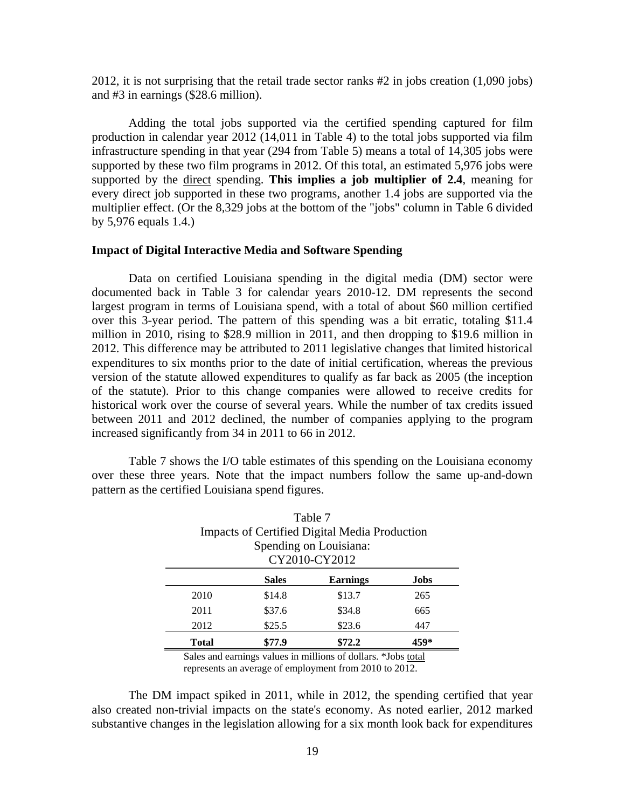2012, it is not surprising that the retail trade sector ranks #2 in jobs creation (1,090 jobs) and #3 in earnings (\$28.6 million).

 Adding the total jobs supported via the certified spending captured for film production in calendar year 2012 (14,011 in Table 4) to the total jobs supported via film infrastructure spending in that year (294 from Table 5) means a total of 14,305 jobs were supported by these two film programs in 2012. Of this total, an estimated 5,976 jobs were supported by the direct spending. **This implies a job multiplier of 2.4**, meaning for every direct job supported in these two programs, another 1.4 jobs are supported via the multiplier effect. (Or the 8,329 jobs at the bottom of the "jobs" column in Table 6 divided by 5,976 equals 1.4.)

#### **Impact of Digital Interactive Media and Software Spending**

Data on certified Louisiana spending in the digital media (DM) sector were documented back in Table 3 for calendar years 2010-12. DM represents the second largest program in terms of Louisiana spend, with a total of about \$60 million certified over this 3-year period. The pattern of this spending was a bit erratic, totaling \$11.4 million in 2010, rising to \$28.9 million in 2011, and then dropping to \$19.6 million in 2012. This difference may be attributed to 2011 legislative changes that limited historical expenditures to six months prior to the date of initial certification, whereas the previous version of the statute allowed expenditures to qualify as far back as 2005 (the inception of the statute). Prior to this change companies were allowed to receive credits for historical work over the course of several years. While the number of tax credits issued between 2011 and 2012 declined, the number of companies applying to the program increased significantly from 34 in 2011 to 66 in 2012.

 Table 7 shows the I/O table estimates of this spending on the Louisiana economy over these three years. Note that the impact numbers follow the same up-and-down pattern as the certified Louisiana spend figures.

| Table 7<br><b>Impacts of Certified Digital Media Production</b> |        |        |     |  |  |
|-----------------------------------------------------------------|--------|--------|-----|--|--|
| Spending on Louisiana:<br>CY2010-CY2012                         |        |        |     |  |  |
| <b>Earnings</b><br><b>Sales</b><br>Jobs                         |        |        |     |  |  |
| 2010                                                            | \$14.8 | \$13.7 | 265 |  |  |
| 2011                                                            | \$37.6 | \$34.8 | 665 |  |  |
| 2012                                                            | \$25.5 | \$23.6 | 447 |  |  |
| \$72.2<br>\$77.9<br>459*<br><b>Total</b>                        |        |        |     |  |  |

Sales and earnings values in millions of dollars. \*Jobs total represents an average of employment from 2010 to 2012.

 The DM impact spiked in 2011, while in 2012, the spending certified that year also created non-trivial impacts on the state's economy. As noted earlier, 2012 marked substantive changes in the legislation allowing for a six month look back for expenditures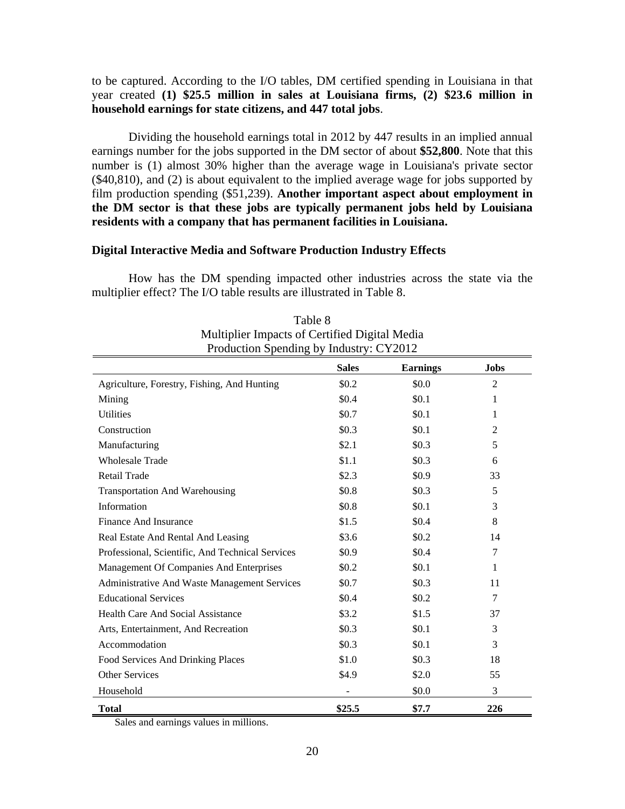## to be captured. According to the I/O tables, DM certified spending in Louisiana in that year created **(1) \$25.5 million in sales at Louisiana firms, (2) \$23.6 million in household earnings for state citizens, and 447 total jobs**.

 Dividing the household earnings total in 2012 by 447 results in an implied annual earnings number for the jobs supported in the DM sector of about **\$52,800**. Note that this number is (1) almost 30% higher than the average wage in Louisiana's private sector (\$40,810), and (2) is about equivalent to the implied average wage for jobs supported by film production spending (\$51,239). **Another important aspect about employment in the DM sector is that these jobs are typically permanent jobs held by Louisiana residents with a company that has permanent facilities in Louisiana.**

#### **Digital Interactive Media and Software Production Industry Effects**

How has the DM spending impacted other industries across the state via the multiplier effect? The I/O table results are illustrated in Table 8.

|                                                  | <b>Sales</b> | <b>Earnings</b> | <b>Jobs</b>    |
|--------------------------------------------------|--------------|-----------------|----------------|
| Agriculture, Forestry, Fishing, And Hunting      | \$0.2\$      | \$0.0           | $\overline{2}$ |
| Mining                                           | \$0.4        | \$0.1           | 1              |
| <b>Utilities</b>                                 | \$0.7        | \$0.1           | 1              |
| Construction                                     | \$0.3\$      | \$0.1           | $\overline{2}$ |
| Manufacturing                                    | \$2.1        | \$0.3           | 5              |
| <b>Wholesale Trade</b>                           | \$1.1        | \$0.3\$         | 6              |
| Retail Trade                                     | \$2.3        | \$0.9           | 33             |
| <b>Transportation And Warehousing</b>            | \$0.8        | \$0.3\$         | 5              |
| Information                                      | \$0.8        | \$0.1           | 3              |
| <b>Finance And Insurance</b>                     | \$1.5        | \$0.4           | 8              |
| Real Estate And Rental And Leasing               | \$3.6        | \$0.2\$         | 14             |
| Professional, Scientific, And Technical Services | \$0.9        | \$0.4           | 7              |
| Management Of Companies And Enterprises          | \$0.2        | \$0.1           | 1              |
| Administrative And Waste Management Services     | \$0.7        | \$0.3\$         | 11             |
| <b>Educational Services</b>                      | \$0.4        | \$0.2\$         | 7              |
| <b>Health Care And Social Assistance</b>         | \$3.2        | \$1.5           | 37             |
| Arts, Entertainment, And Recreation              | \$0.3\$      | \$0.1           | 3              |
| Accommodation                                    | \$0.3\$      | \$0.1           | 3              |
| Food Services And Drinking Places                | \$1.0        | \$0.3\$         | 18             |
| <b>Other Services</b>                            | \$4.9        | \$2.0           | 55             |
| Household                                        |              | \$0.0           | 3              |
| <b>Total</b>                                     | \$25.5       | \$7.7           | 226            |

Table 8 Multiplier Impacts of Certified Digital Media Production Spending by Industry: CY2012

Sales and earnings values in millions.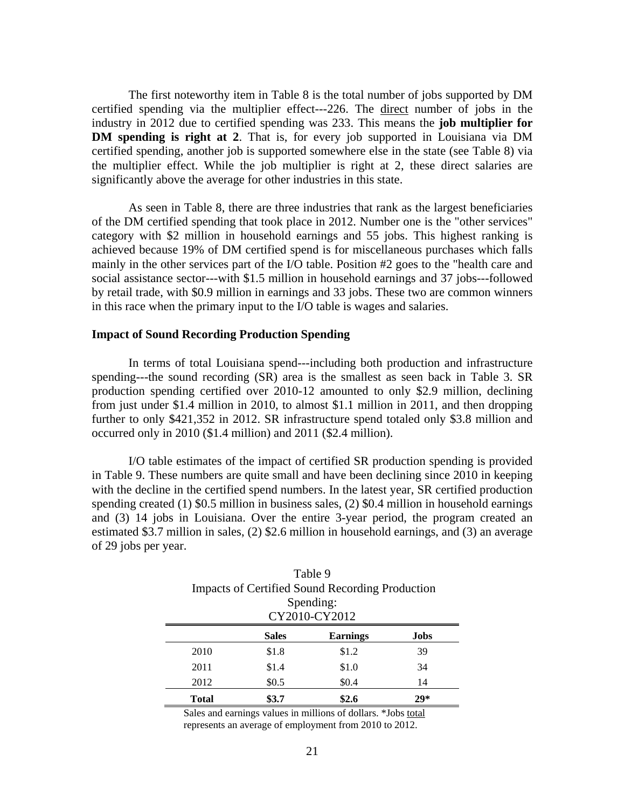The first noteworthy item in Table 8 is the total number of jobs supported by DM certified spending via the multiplier effect---226. The direct number of jobs in the industry in 2012 due to certified spending was 233. This means the **job multiplier for DM spending is right at 2**. That is, for every job supported in Louisiana via DM certified spending, another job is supported somewhere else in the state (see Table 8) via the multiplier effect. While the job multiplier is right at 2, these direct salaries are significantly above the average for other industries in this state.

 As seen in Table 8, there are three industries that rank as the largest beneficiaries of the DM certified spending that took place in 2012. Number one is the "other services" category with \$2 million in household earnings and 55 jobs. This highest ranking is achieved because 19% of DM certified spend is for miscellaneous purchases which falls mainly in the other services part of the I/O table. Position #2 goes to the "health care and social assistance sector---with \$1.5 million in household earnings and 37 jobs---followed by retail trade, with \$0.9 million in earnings and 33 jobs. These two are common winners in this race when the primary input to the I/O table is wages and salaries.

#### **Impact of Sound Recording Production Spending**

In terms of total Louisiana spend---including both production and infrastructure spending---the sound recording (SR) area is the smallest as seen back in Table 3. SR production spending certified over 2010-12 amounted to only \$2.9 million, declining from just under \$1.4 million in 2010, to almost \$1.1 million in 2011, and then dropping further to only \$421,352 in 2012. SR infrastructure spend totaled only \$3.8 million and occurred only in 2010 (\$1.4 million) and 2011 (\$2.4 million).

 I/O table estimates of the impact of certified SR production spending is provided in Table 9. These numbers are quite small and have been declining since 2010 in keeping with the decline in the certified spend numbers. In the latest year, SR certified production spending created (1) \$0.5 million in business sales, (2) \$0.4 million in household earnings and (3) 14 jobs in Louisiana. Over the entire 3-year period, the program created an estimated \$3.7 million in sales, (2) \$2.6 million in household earnings, and (3) an average of 29 jobs per year.

Table 9

| <b>Impacts of Certified Sound Recording Production</b><br>Spending:<br>CY2010-CY2012 |                         |       |    |  |  |
|--------------------------------------------------------------------------------------|-------------------------|-------|----|--|--|
| <b>Earnings</b><br><b>Sales</b><br>Jobs                                              |                         |       |    |  |  |
| 2010                                                                                 | \$1.8                   | \$1.2 | 39 |  |  |
| 2011                                                                                 | \$1.4                   | \$1.0 | 34 |  |  |
| 2012                                                                                 | \$0.5                   | \$0.4 | 14 |  |  |
| <b>Total</b>                                                                         | \$3.7<br>\$2.6<br>$29*$ |       |    |  |  |

Sales and earnings values in millions of dollars. \*Jobs total represents an average of employment from 2010 to 2012.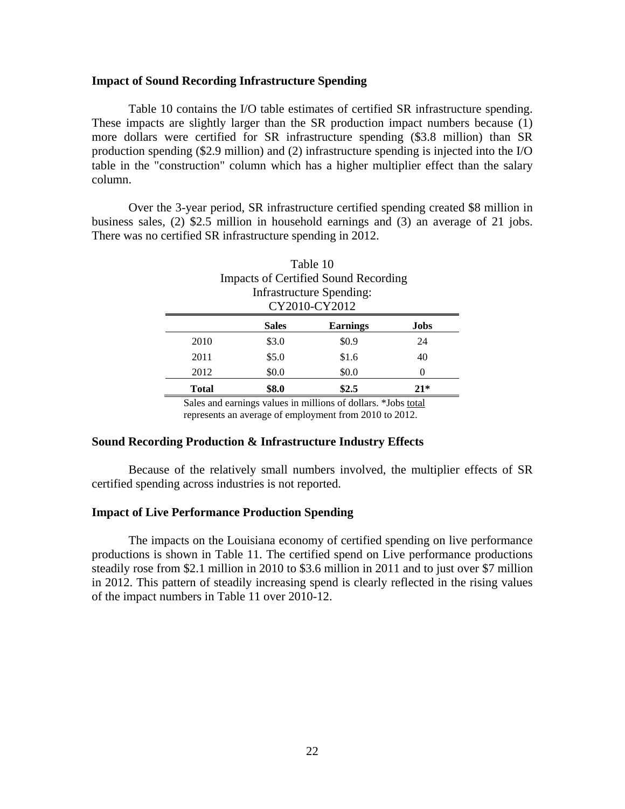#### **Impact of Sound Recording Infrastructure Spending**

Table 10 contains the I/O table estimates of certified SR infrastructure spending. These impacts are slightly larger than the SR production impact numbers because (1) more dollars were certified for SR infrastructure spending (\$3.8 million) than SR production spending (\$2.9 million) and (2) infrastructure spending is injected into the I/O table in the "construction" column which has a higher multiplier effect than the salary column.

 Over the 3-year period, SR infrastructure certified spending created \$8 million in business sales, (2) \$2.5 million in household earnings and (3) an average of 21 jobs. There was no certified SR infrastructure spending in 2012.

| Table 10                                |                                             |                                 |       |  |  |
|-----------------------------------------|---------------------------------------------|---------------------------------|-------|--|--|
|                                         | <b>Impacts of Certified Sound Recording</b> |                                 |       |  |  |
|                                         |                                             | <b>Infrastructure Spending:</b> |       |  |  |
| CY2010-CY2012                           |                                             |                                 |       |  |  |
| <b>Sales</b><br><b>Earnings</b><br>Jobs |                                             |                                 |       |  |  |
| 2010                                    | \$3.0                                       | \$0.9                           | 24    |  |  |
| 2011                                    | \$5.0                                       | \$1.6                           | 40    |  |  |
| 2012                                    | \$0.0                                       | \$0.0                           | 0     |  |  |
| <b>Total</b>                            | \$8.0                                       | \$2.5                           | $21*$ |  |  |

Sales and earnings values in millions of dollars. \*Jobs total represents an average of employment from 2010 to 2012.

#### **Sound Recording Production & Infrastructure Industry Effects**

Because of the relatively small numbers involved, the multiplier effects of SR certified spending across industries is not reported.

### **Impact of Live Performance Production Spending**

The impacts on the Louisiana economy of certified spending on live performance productions is shown in Table 11. The certified spend on Live performance productions steadily rose from \$2.1 million in 2010 to \$3.6 million in 2011 and to just over \$7 million in 2012. This pattern of steadily increasing spend is clearly reflected in the rising values of the impact numbers in Table 11 over 2010-12.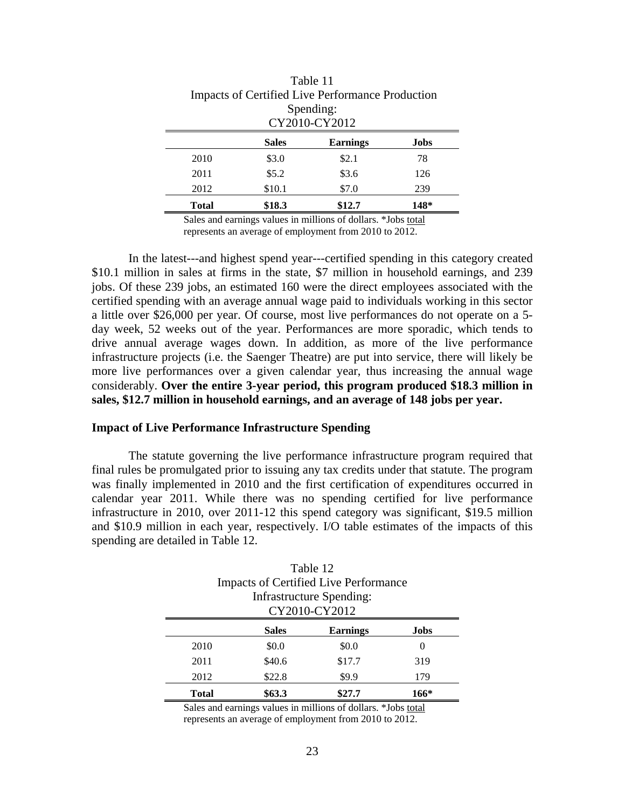|       | Table 11<br><b>Impacts of Certified Live Performance Production</b> |       |     |  |  |  |
|-------|---------------------------------------------------------------------|-------|-----|--|--|--|
|       | Spending:<br>CY2010-CY2012                                          |       |     |  |  |  |
|       | <b>Sales</b><br><b>Earnings</b><br>Jobs                             |       |     |  |  |  |
| 2010  | \$3.0                                                               | \$2.1 | 78  |  |  |  |
| 2011  | \$5.2\$                                                             | \$3.6 | 126 |  |  |  |
| 2012  | \$10.1                                                              | \$7.0 | 239 |  |  |  |
| Total | \$18.3<br>\$12.7<br>148*                                            |       |     |  |  |  |

Sales and earnings values in millions of dollars. \*Jobs total represents an average of employment from 2010 to 2012.

 In the latest---and highest spend year---certified spending in this category created \$10.1 million in sales at firms in the state, \$7 million in household earnings, and 239 jobs. Of these 239 jobs, an estimated 160 were the direct employees associated with the certified spending with an average annual wage paid to individuals working in this sector a little over \$26,000 per year. Of course, most live performances do not operate on a 5 day week, 52 weeks out of the year. Performances are more sporadic, which tends to drive annual average wages down. In addition, as more of the live performance infrastructure projects (i.e. the Saenger Theatre) are put into service, there will likely be more live performances over a given calendar year, thus increasing the annual wage considerably. **Over the entire 3-year period, this program produced \$18.3 million in sales, \$12.7 million in household earnings, and an average of 148 jobs per year.**

#### **Impact of Live Performance Infrastructure Spending**

The statute governing the live performance infrastructure program required that final rules be promulgated prior to issuing any tax credits under that statute. The program was finally implemented in 2010 and the first certification of expenditures occurred in calendar year 2011. While there was no spending certified for live performance infrastructure in 2010, over 2011-12 this spend category was significant, \$19.5 million and \$10.9 million in each year, respectively. I/O table estimates of the impacts of this spending are detailed in Table 12.

|                                          | Table 12                                  |                                              |     |  |  |  |
|------------------------------------------|-------------------------------------------|----------------------------------------------|-----|--|--|--|
|                                          |                                           | <b>Impacts of Certified Live Performance</b> |     |  |  |  |
|                                          | Infrastructure Spending:<br>CY2010-CY2012 |                                              |     |  |  |  |
|                                          |                                           |                                              |     |  |  |  |
|                                          | <b>Sales</b><br><b>Earnings</b><br>Jobs   |                                              |     |  |  |  |
| 2010                                     | \$0.0                                     | \$0.0                                        | 0   |  |  |  |
| 2011                                     | \$40.6                                    | \$17.7                                       | 319 |  |  |  |
| 2012                                     | \$22.8                                    | \$9.9                                        | 179 |  |  |  |
| \$63.3<br>\$27.7<br>166*<br><b>Total</b> |                                           |                                              |     |  |  |  |

Sales and earnings values in millions of dollars. \*Jobs total represents an average of employment from 2010 to 2012.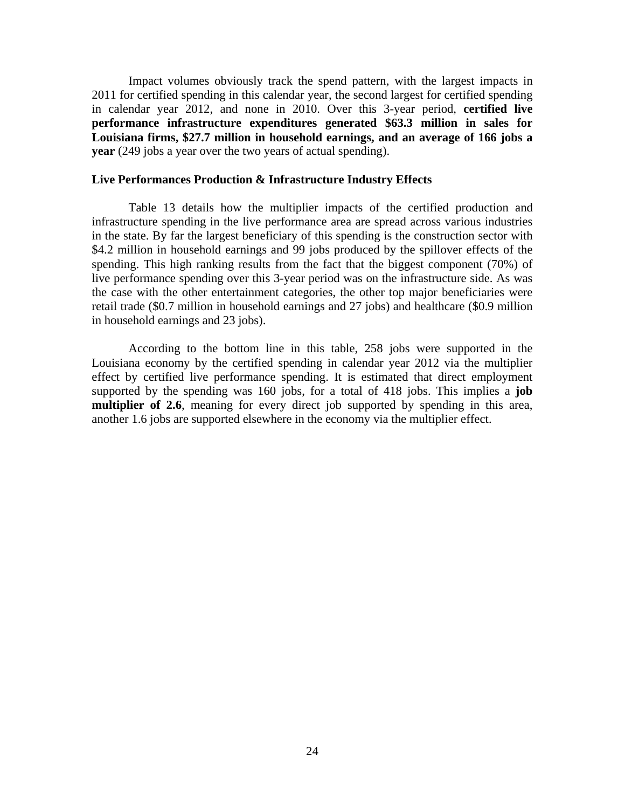Impact volumes obviously track the spend pattern, with the largest impacts in 2011 for certified spending in this calendar year, the second largest for certified spending in calendar year 2012, and none in 2010. Over this 3-year period, **certified live performance infrastructure expenditures generated \$63.3 million in sales for Louisiana firms, \$27.7 million in household earnings, and an average of 166 jobs a year** (249 jobs a year over the two years of actual spending).

## **Live Performances Production & Infrastructure Industry Effects**

Table 13 details how the multiplier impacts of the certified production and infrastructure spending in the live performance area are spread across various industries in the state. By far the largest beneficiary of this spending is the construction sector with \$4.2 million in household earnings and 99 jobs produced by the spillover effects of the spending. This high ranking results from the fact that the biggest component (70%) of live performance spending over this 3-year period was on the infrastructure side. As was the case with the other entertainment categories, the other top major beneficiaries were retail trade (\$0.7 million in household earnings and 27 jobs) and healthcare (\$0.9 million in household earnings and 23 jobs).

 According to the bottom line in this table, 258 jobs were supported in the Louisiana economy by the certified spending in calendar year 2012 via the multiplier effect by certified live performance spending. It is estimated that direct employment supported by the spending was 160 jobs, for a total of 418 jobs. This implies a **job multiplier of 2.6**, meaning for every direct job supported by spending in this area, another 1.6 jobs are supported elsewhere in the economy via the multiplier effect.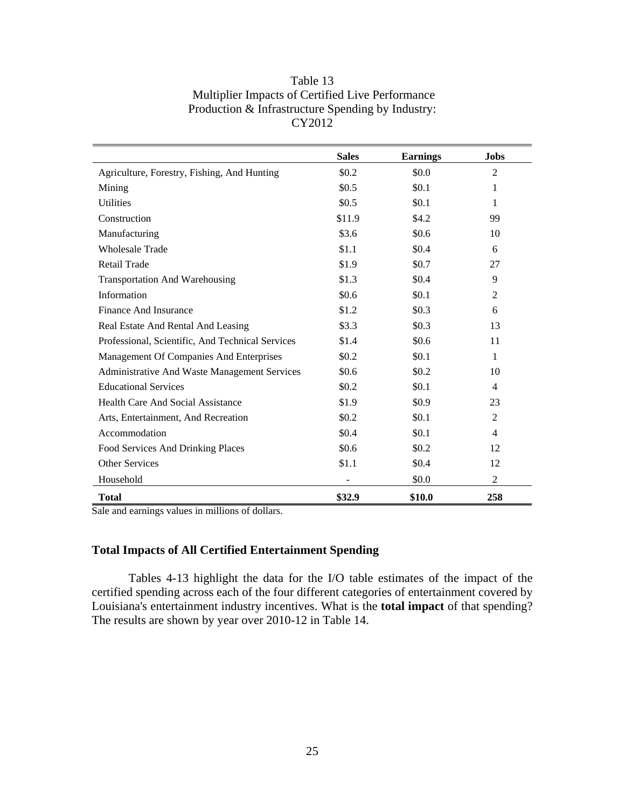| Table 13                                          |
|---------------------------------------------------|
| Multiplier Impacts of Certified Live Performance  |
| Production & Infrastructure Spending by Industry: |
| CY2012                                            |

|                                                     | <b>Sales</b> | <b>Earnings</b> | <b>Jobs</b>    |
|-----------------------------------------------------|--------------|-----------------|----------------|
| Agriculture, Forestry, Fishing, And Hunting         | \$0.2        | \$0.0           | $\overline{2}$ |
| Mining                                              | \$0.5        | \$0.1           | 1              |
| <b>Utilities</b>                                    | \$0.5        | \$0.1           | 1              |
| Construction                                        | \$11.9       | \$4.2\$         | 99             |
| Manufacturing                                       | \$3.6        | \$0.6\$         | 10             |
| <b>Wholesale Trade</b>                              | \$1.1        | \$0.4           | 6              |
| <b>Retail Trade</b>                                 | \$1.9        | \$0.7           | 27             |
| <b>Transportation And Warehousing</b>               | \$1.3        | \$0.4           | 9              |
| Information                                         | \$0.6        | \$0.1           | $\overline{2}$ |
| Finance And Insurance                               | \$1.2        | \$0.3\$         | 6              |
| Real Estate And Rental And Leasing                  | \$3.3        | \$0.3\$         | 13             |
| Professional, Scientific, And Technical Services    | \$1.4        | \$0.6\$         | 11             |
| Management Of Companies And Enterprises             | \$0.2        | \$0.1           | $\mathbf{1}$   |
| <b>Administrative And Waste Management Services</b> | \$0.6        | \$0.2\$         | 10             |
| <b>Educational Services</b>                         | \$0.2        | \$0.1           | 4              |
| Health Care And Social Assistance                   | \$1.9        | \$0.9           | 23             |
| Arts, Entertainment, And Recreation                 | \$0.2        | \$0.1           | $\overline{2}$ |
| Accommodation                                       | \$0.4        | \$0.1           | $\overline{4}$ |
| Food Services And Drinking Places                   | \$0.6        | \$0.2           | 12             |
| Other Services                                      | \$1.1        | \$0.4           | 12             |
| Household                                           |              | \$0.0           | $\overline{2}$ |
| Total                                               | \$32.9       | \$10.0          | 258            |

Sale and earnings values in millions of dollars.

# **Total Impacts of All Certified Entertainment Spending**

Tables 4-13 highlight the data for the I/O table estimates of the impact of the certified spending across each of the four different categories of entertainment covered by Louisiana's entertainment industry incentives. What is the **total impact** of that spending? The results are shown by year over 2010-12 in Table 14.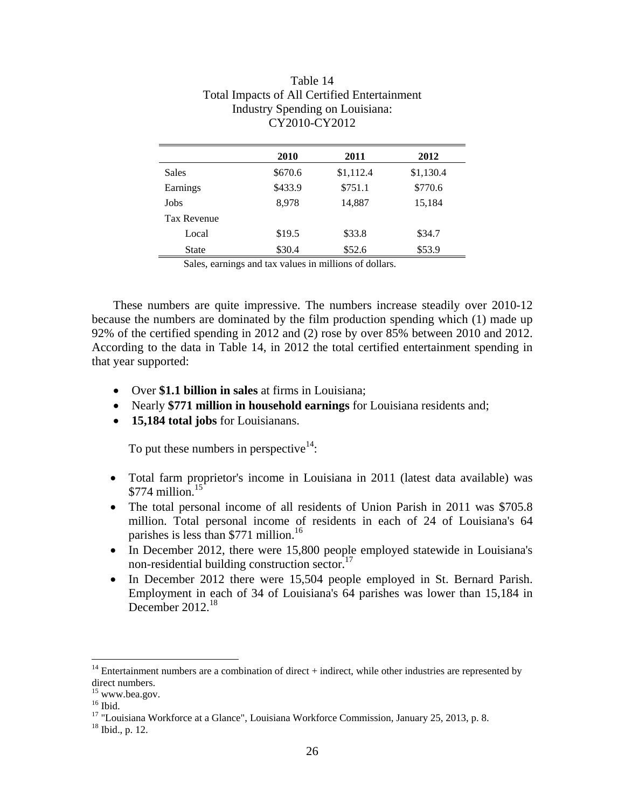|                    | 2010    | 2011      | 2012      |
|--------------------|---------|-----------|-----------|
| <b>Sales</b>       | \$670.6 | \$1,112.4 | \$1,130.4 |
| Earnings           | \$433.9 | \$751.1   | \$770.6   |
| Jobs               | 8,978   | 14,887    | 15,184    |
| <b>Tax Revenue</b> |         |           |           |
| Local              | \$19.5  | \$33.8    | \$34.7    |
| <b>State</b>       | \$30.4  | \$52.6    | \$53.9    |

# Table 14 Total Impacts of All Certified Entertainment Industry Spending on Louisiana: CY2010-CY2012

Sales, earnings and tax values in millions of dollars.

These numbers are quite impressive. The numbers increase steadily over 2010-12 because the numbers are dominated by the film production spending which (1) made up 92% of the certified spending in 2012 and (2) rose by over 85% between 2010 and 2012. According to the data in Table 14, in 2012 the total certified entertainment spending in that year supported:

- Over **\$1.1 billion in sales** at firms in Louisiana;
- Nearly \$771 million in household earnings for Louisiana residents and;
- **15,184 total jobs** for Louisianans.

To put these numbers in perspective $14$ :

- Total farm proprietor's income in Louisiana in 2011 (latest data available) was  $$774$  million<sup>15</sup>
- The total personal income of all residents of Union Parish in 2011 was \$705.8 million. Total personal income of residents in each of 24 of Louisiana's 64 parishes is less than \$771 million.<sup>16</sup>
- In December 2012, there were 15,800 people employed statewide in Louisiana's non-residential building construction sector.<sup>17</sup>
- In December 2012 there were 15,504 people employed in St. Bernard Parish. Employment in each of 34 of Louisiana's 64 parishes was lower than 15,184 in December 2012.<sup>18</sup>

 $\overline{a}$ 

 $14$  Entertainment numbers are a combination of direct + indirect, while other industries are represented by direct numbers.

<sup>15</sup> www.bea.gov.

 $16$  Ibid.

<sup>&</sup>lt;sup>17</sup> "Louisiana Workforce at a Glance", Louisiana Workforce Commission, January 25, 2013, p. 8. <sup>18</sup> Ibid., p. 12.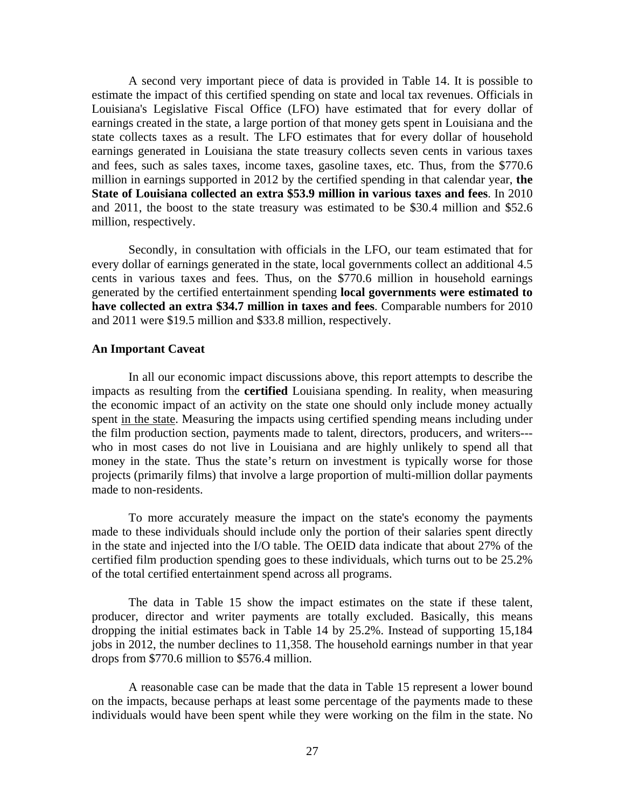A second very important piece of data is provided in Table 14. It is possible to estimate the impact of this certified spending on state and local tax revenues. Officials in Louisiana's Legislative Fiscal Office (LFO) have estimated that for every dollar of earnings created in the state, a large portion of that money gets spent in Louisiana and the state collects taxes as a result. The LFO estimates that for every dollar of household earnings generated in Louisiana the state treasury collects seven cents in various taxes and fees, such as sales taxes, income taxes, gasoline taxes, etc. Thus, from the \$770.6 million in earnings supported in 2012 by the certified spending in that calendar year, **the State of Louisiana collected an extra \$53.9 million in various taxes and fees**. In 2010 and 2011, the boost to the state treasury was estimated to be \$30.4 million and \$52.6 million, respectively.

 Secondly, in consultation with officials in the LFO, our team estimated that for every dollar of earnings generated in the state, local governments collect an additional 4.5 cents in various taxes and fees. Thus, on the \$770.6 million in household earnings generated by the certified entertainment spending **local governments were estimated to have collected an extra \$34.7 million in taxes and fees**. Comparable numbers for 2010 and 2011 were \$19.5 million and \$33.8 million, respectively.

#### **An Important Caveat**

In all our economic impact discussions above, this report attempts to describe the impacts as resulting from the **certified** Louisiana spending. In reality, when measuring the economic impact of an activity on the state one should only include money actually spent in the state. Measuring the impacts using certified spending means including under the film production section, payments made to talent, directors, producers, and writers-- who in most cases do not live in Louisiana and are highly unlikely to spend all that money in the state. Thus the state's return on investment is typically worse for those projects (primarily films) that involve a large proportion of multi-million dollar payments made to non-residents.

 To more accurately measure the impact on the state's economy the payments made to these individuals should include only the portion of their salaries spent directly in the state and injected into the I/O table. The OEID data indicate that about 27% of the certified film production spending goes to these individuals, which turns out to be 25.2% of the total certified entertainment spend across all programs.

 The data in Table 15 show the impact estimates on the state if these talent, producer, director and writer payments are totally excluded. Basically, this means dropping the initial estimates back in Table 14 by 25.2%. Instead of supporting 15,184 jobs in 2012, the number declines to 11,358. The household earnings number in that year drops from \$770.6 million to \$576.4 million.

 A reasonable case can be made that the data in Table 15 represent a lower bound on the impacts, because perhaps at least some percentage of the payments made to these individuals would have been spent while they were working on the film in the state. No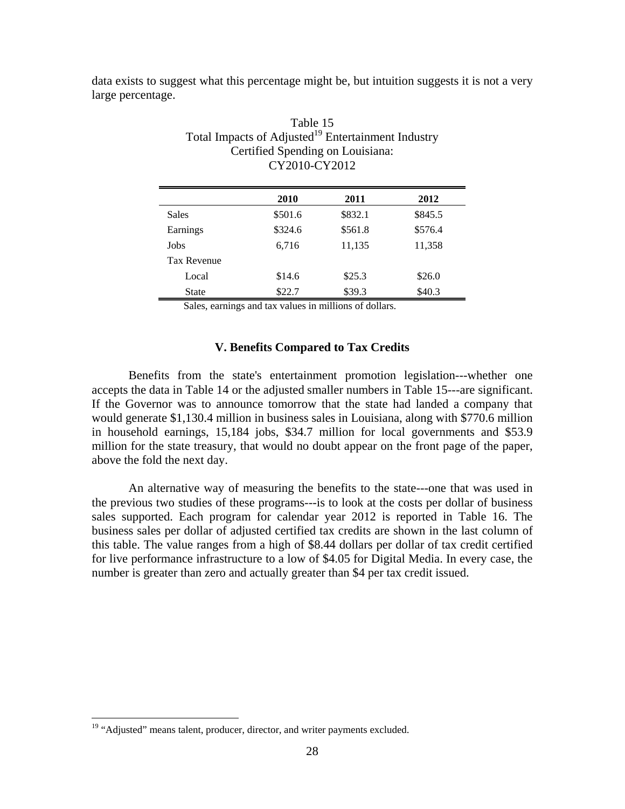|                   |  |  | data exists to suggest what this percentage might be, but intuition suggests it is not a very |  |  |
|-------------------|--|--|-----------------------------------------------------------------------------------------------|--|--|
| large percentage. |  |  |                                                                                               |  |  |

|              | 2010    | 2011    | 2012    |
|--------------|---------|---------|---------|
| <b>Sales</b> | \$501.6 | \$832.1 | \$845.5 |
| Earnings     | \$324.6 | \$561.8 | \$576.4 |
| Jobs         | 6,716   | 11,135  | 11,358  |
| Tax Revenue  |         |         |         |
| Local        | \$14.6  | \$25.3  | \$26.0  |
| <b>State</b> | \$22.7  | \$39.3  | \$40.3  |

# Table 15 Total Impacts of Adjusted<sup>19</sup> Entertainment Industry Certified Spending on Louisiana: CY2010-CY2012

Sales, earnings and tax values in millions of dollars.

## **V. Benefits Compared to Tax Credits**

 Benefits from the state's entertainment promotion legislation---whether one accepts the data in Table 14 or the adjusted smaller numbers in Table 15---are significant. If the Governor was to announce tomorrow that the state had landed a company that would generate \$1,130.4 million in business sales in Louisiana, along with \$770.6 million in household earnings, 15,184 jobs, \$34.7 million for local governments and \$53.9 million for the state treasury, that would no doubt appear on the front page of the paper, above the fold the next day.

 An alternative way of measuring the benefits to the state---one that was used in the previous two studies of these programs---is to look at the costs per dollar of business sales supported. Each program for calendar year 2012 is reported in Table 16. The business sales per dollar of adjusted certified tax credits are shown in the last column of this table. The value ranges from a high of \$8.44 dollars per dollar of tax credit certified for live performance infrastructure to a low of \$4.05 for Digital Media. In every case, the number is greater than zero and actually greater than \$4 per tax credit issued.

 $\overline{a}$ 

<sup>&</sup>lt;sup>19</sup> "Adjusted" means talent, producer, director, and writer payments excluded.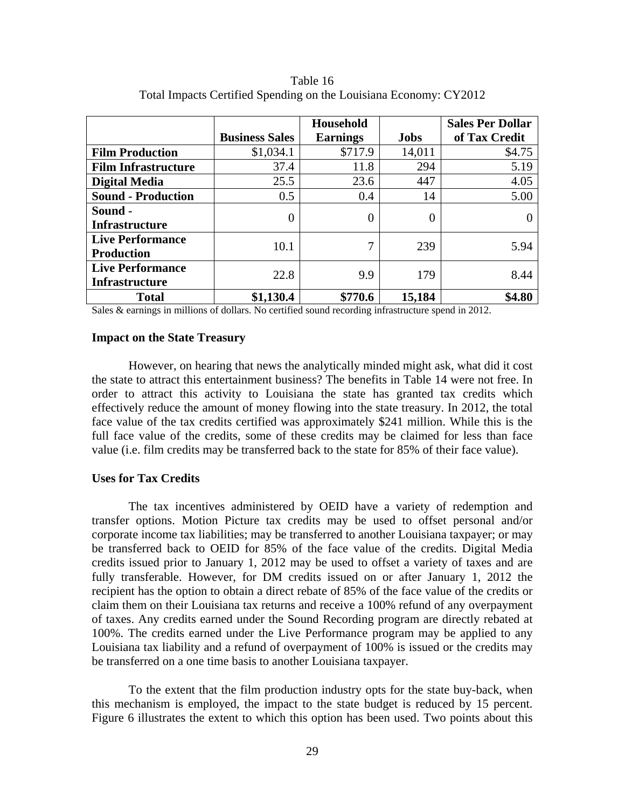|                            |                       | <b>Household</b> |             | <b>Sales Per Dollar</b> |
|----------------------------|-----------------------|------------------|-------------|-------------------------|
|                            | <b>Business Sales</b> | <b>Earnings</b>  | <b>Jobs</b> | of Tax Credit           |
| <b>Film Production</b>     | \$1,034.1             | \$717.9          | 14,011      | \$4.75                  |
| <b>Film Infrastructure</b> | 37.4                  | 11.8             | 294         | 5.19                    |
| <b>Digital Media</b>       | 25.5                  | 23.6             | 447         | 4.05                    |
| <b>Sound - Production</b>  | 0.5                   | 0.4              | 14          | 5.00                    |
| Sound -                    | 0                     | 0                | 0           |                         |
| Infrastructure             |                       |                  |             |                         |
| <b>Live Performance</b>    | 10.1                  | 7                | 239         | 5.94                    |
| <b>Production</b>          |                       |                  |             |                         |
| <b>Live Performance</b>    | 22.8                  | 9.9              | 179         | 8.44                    |
| <b>Infrastructure</b>      |                       |                  |             |                         |
| <b>Total</b>               | \$1,130.4             | \$770.6          | 15,184      | \$4.80                  |

Table 16 Total Impacts Certified Spending on the Louisiana Economy: CY2012

Sales & earnings in millions of dollars. No certified sound recording infrastructure spend in 2012.

#### **Impact on the State Treasury**

 However, on hearing that news the analytically minded might ask, what did it cost the state to attract this entertainment business? The benefits in Table 14 were not free. In order to attract this activity to Louisiana the state has granted tax credits which effectively reduce the amount of money flowing into the state treasury. In 2012, the total face value of the tax credits certified was approximately \$241 million. While this is the full face value of the credits, some of these credits may be claimed for less than face value (i.e. film credits may be transferred back to the state for 85% of their face value).

## **Uses for Tax Credits**

 The tax incentives administered by OEID have a variety of redemption and transfer options. Motion Picture tax credits may be used to offset personal and/or corporate income tax liabilities; may be transferred to another Louisiana taxpayer; or may be transferred back to OEID for 85% of the face value of the credits. Digital Media credits issued prior to January 1, 2012 may be used to offset a variety of taxes and are fully transferable. However, for DM credits issued on or after January 1, 2012 the recipient has the option to obtain a direct rebate of 85% of the face value of the credits or claim them on their Louisiana tax returns and receive a 100% refund of any overpayment of taxes. Any credits earned under the Sound Recording program are directly rebated at 100%. The credits earned under the Live Performance program may be applied to any Louisiana tax liability and a refund of overpayment of 100% is issued or the credits may be transferred on a one time basis to another Louisiana taxpayer.

 To the extent that the film production industry opts for the state buy-back, when this mechanism is employed, the impact to the state budget is reduced by 15 percent. Figure 6 illustrates the extent to which this option has been used. Two points about this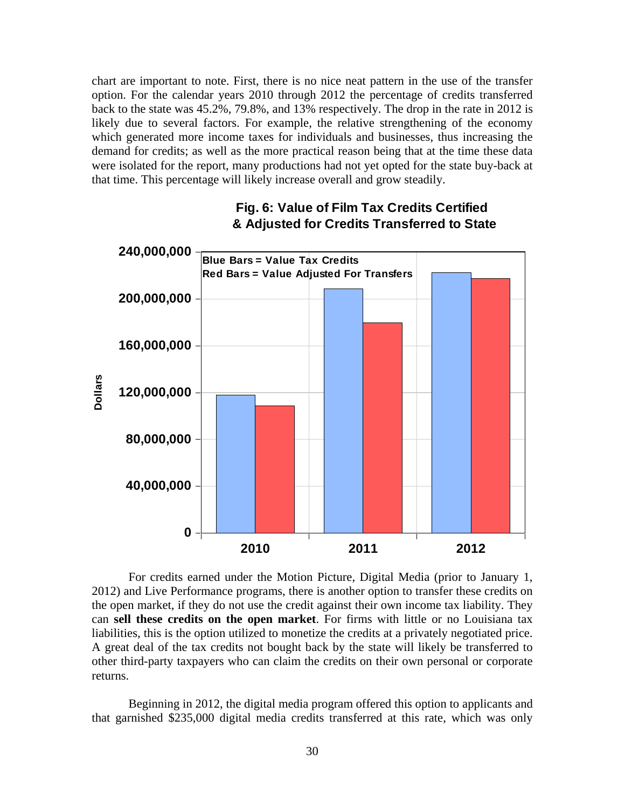chart are important to note. First, there is no nice neat pattern in the use of the transfer option. For the calendar years 2010 through 2012 the percentage of credits transferred back to the state was 45.2%, 79.8%, and 13% respectively. The drop in the rate in 2012 is likely due to several factors. For example, the relative strengthening of the economy which generated more income taxes for individuals and businesses, thus increasing the demand for credits; as well as the more practical reason being that at the time these data were isolated for the report, many productions had not yet opted for the state buy-back at that time. This percentage will likely increase overall and grow steadily.



# **Fig. 6: Value of Film Tax Credits Certified & Adjusted for Credits Transferred to State**

 For credits earned under the Motion Picture, Digital Media (prior to January 1, 2012) and Live Performance programs, there is another option to transfer these credits on the open market, if they do not use the credit against their own income tax liability. They can **sell these credits on the open market**. For firms with little or no Louisiana tax liabilities, this is the option utilized to monetize the credits at a privately negotiated price. A great deal of the tax credits not bought back by the state will likely be transferred to other third-party taxpayers who can claim the credits on their own personal or corporate returns.

 Beginning in 2012, the digital media program offered this option to applicants and that garnished \$235,000 digital media credits transferred at this rate, which was only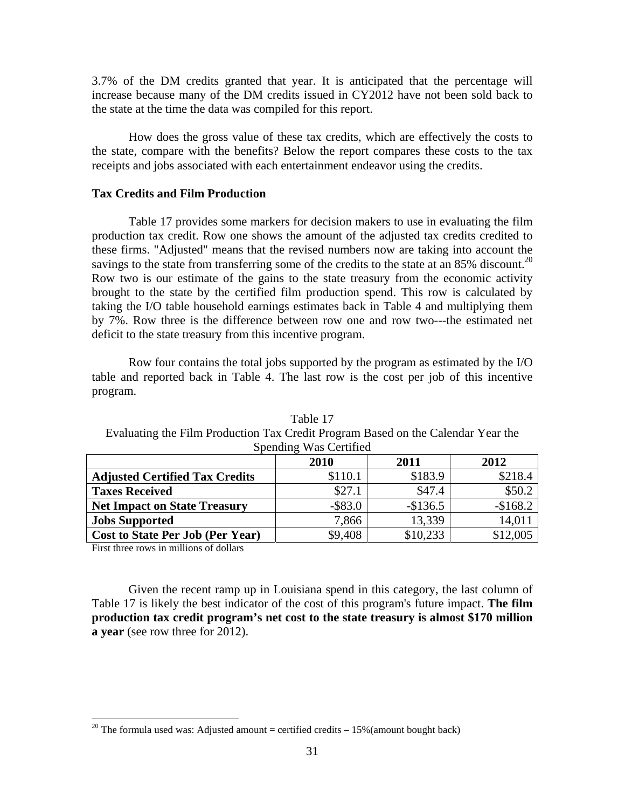3.7% of the DM credits granted that year. It is anticipated that the percentage will increase because many of the DM credits issued in CY2012 have not been sold back to the state at the time the data was compiled for this report.

 How does the gross value of these tax credits, which are effectively the costs to the state, compare with the benefits? Below the report compares these costs to the tax receipts and jobs associated with each entertainment endeavor using the credits.

#### **Tax Credits and Film Production**

Table 17 provides some markers for decision makers to use in evaluating the film production tax credit. Row one shows the amount of the adjusted tax credits credited to these firms. "Adjusted" means that the revised numbers now are taking into account the savings to the state from transferring some of the credits to the state at an  $85\%$  discount.<sup>20</sup> Row two is our estimate of the gains to the state treasury from the economic activity brought to the state by the certified film production spend. This row is calculated by taking the I/O table household earnings estimates back in Table 4 and multiplying them by 7%. Row three is the difference between row one and row two---the estimated net deficit to the state treasury from this incentive program.

 Row four contains the total jobs supported by the program as estimated by the I/O table and reported back in Table 4. The last row is the cost per job of this incentive program.

| Spending was Certified                |            |           |           |  |  |
|---------------------------------------|------------|-----------|-----------|--|--|
|                                       | 2010       | 2011      | 2012      |  |  |
| <b>Adjusted Certified Tax Credits</b> | \$110.1    | \$183.9   | \$218.4   |  |  |
| <b>Taxes Received</b>                 | \$27.1     | \$47.4    | \$50.2    |  |  |
| <b>Net Impact on State Treasury</b>   | $-$ \$83.0 | $-$136.5$ | $-$168.2$ |  |  |
| <b>Jobs Supported</b>                 | 7,866      | 13,339    | 14,011    |  |  |
| Cost to State Per Job (Per Year)      | \$9,408    | \$10,233  | \$12,005  |  |  |

Table 17 Evaluating the Film Production Tax Credit Program Based on the Calendar Year the Spending Was Certified

First three rows in millions of dollars

 $\overline{a}$ 

Given the recent ramp up in Louisiana spend in this category, the last column of Table 17 is likely the best indicator of the cost of this program's future impact. **The film production tax credit program's net cost to the state treasury is almost \$170 million a year** (see row three for 2012).

 $20$  The formula used was: Adjusted amount = certified credits  $-15%$  (amount bought back)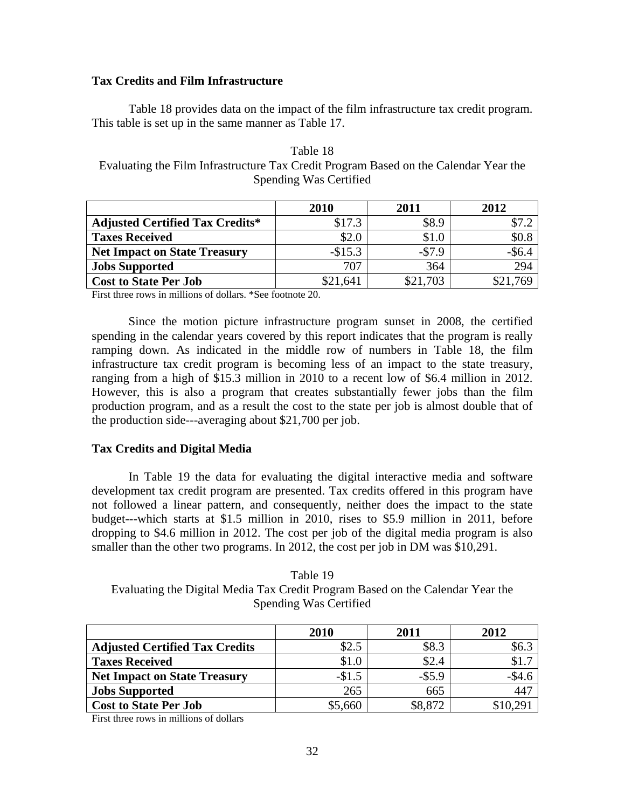## **Tax Credits and Film Infrastructure**

 Table 18 provides data on the impact of the film infrastructure tax credit program. This table is set up in the same manner as Table 17.

| Table 18                                                                             |  |
|--------------------------------------------------------------------------------------|--|
| Evaluating the Film Infrastructure Tax Credit Program Based on the Calendar Year the |  |
| Spending Was Certified                                                               |  |

|                                        | 2010     | 2011     | 2012      |
|----------------------------------------|----------|----------|-----------|
| <b>Adjusted Certified Tax Credits*</b> | \$17.3   | \$8.9    | \$7.2     |
| <b>Taxes Received</b>                  | \$2.0    | \$1.0    | \$0.8     |
| <b>Net Impact on State Treasury</b>    | $-$15.3$ | $-$7.9$  | $-$ \$6.4 |
| <b>Jobs Supported</b>                  | 707      | 364      | 294       |
| <b>Cost to State Per Job</b>           | \$21,641 | \$21,703 | \$21,769  |

First three rows in millions of dollars. \*See footnote 20.

 Since the motion picture infrastructure program sunset in 2008, the certified spending in the calendar years covered by this report indicates that the program is really ramping down. As indicated in the middle row of numbers in Table 18, the film infrastructure tax credit program is becoming less of an impact to the state treasury, ranging from a high of \$15.3 million in 2010 to a recent low of \$6.4 million in 2012. However, this is also a program that creates substantially fewer jobs than the film production program, and as a result the cost to the state per job is almost double that of the production side---averaging about \$21,700 per job.

### **Tax Credits and Digital Media**

In Table 19 the data for evaluating the digital interactive media and software development tax credit program are presented. Tax credits offered in this program have not followed a linear pattern, and consequently, neither does the impact to the state budget---which starts at \$1.5 million in 2010, rises to \$5.9 million in 2011, before dropping to \$4.6 million in 2012. The cost per job of the digital media program is also smaller than the other two programs. In 2012, the cost per job in DM was \$10,291.

Table 19 Evaluating the Digital Media Tax Credit Program Based on the Calendar Year the Spending Was Certified

|                                       | 2010    | 2011      | 2012         |
|---------------------------------------|---------|-----------|--------------|
| <b>Adjusted Certified Tax Credits</b> | \$2.5   | \$8.3     | \$6.3        |
| <b>Taxes Received</b>                 | \$1.0   | \$2.4     |              |
| <b>Net Impact on State Treasury</b>   | $-$1.5$ | $-$ \$5.9 | $-\$4.6$     |
| <b>Jobs Supported</b>                 | 265     | 665       | $44^{\circ}$ |
| <b>Cost to State Per Job</b>          | \$5,660 | \$8,872   | \$10.29      |

First three rows in millions of dollars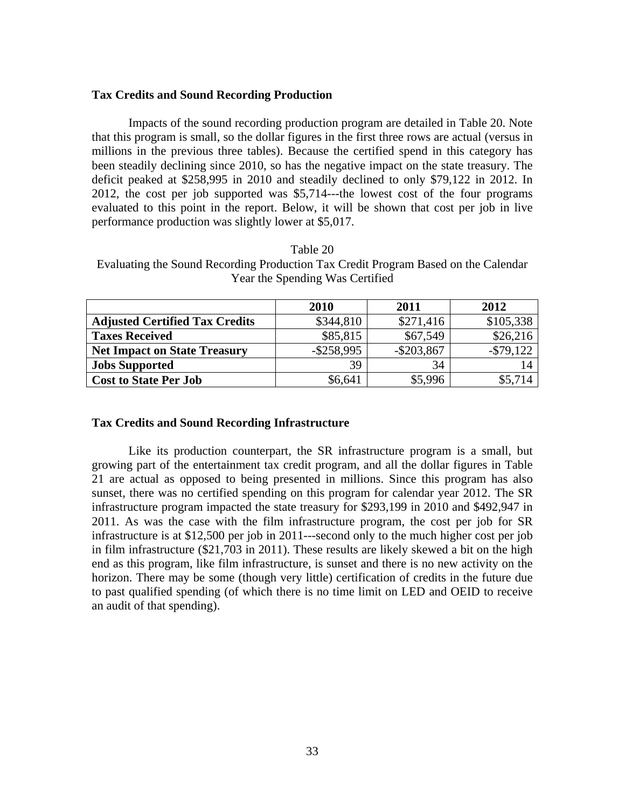## **Tax Credits and Sound Recording Production**

Impacts of the sound recording production program are detailed in Table 20. Note that this program is small, so the dollar figures in the first three rows are actual (versus in millions in the previous three tables). Because the certified spend in this category has been steadily declining since 2010, so has the negative impact on the state treasury. The deficit peaked at \$258,995 in 2010 and steadily declined to only \$79,122 in 2012. In 2012, the cost per job supported was \$5,714---the lowest cost of the four programs evaluated to this point in the report. Below, it will be shown that cost per job in live performance production was slightly lower at \$5,017.

|                                       | 2010          | 2011          | 2012         |
|---------------------------------------|---------------|---------------|--------------|
| <b>Adjusted Certified Tax Credits</b> | \$344,810     | \$271,416     | \$105,338    |
| <b>Taxes Received</b>                 | \$85,815      | \$67,549      | \$26,216     |
| <b>Net Impact on State Treasury</b>   | $-$ \$258,995 | $-$ \$203,867 | $-$ \$79,122 |
| <b>Jobs Supported</b>                 | 39            | 34            |              |
| <b>Cost to State Per Job</b>          | \$6,641       | \$5,996       | \$5,714      |

Table 20 Evaluating the Sound Recording Production Tax Credit Program Based on the Calendar

Year the Spending Was Certified

### **Tax Credits and Sound Recording Infrastructure**

 Like its production counterpart, the SR infrastructure program is a small, but growing part of the entertainment tax credit program, and all the dollar figures in Table 21 are actual as opposed to being presented in millions. Since this program has also sunset, there was no certified spending on this program for calendar year 2012. The SR infrastructure program impacted the state treasury for \$293,199 in 2010 and \$492,947 in 2011. As was the case with the film infrastructure program, the cost per job for SR infrastructure is at \$12,500 per job in 2011---second only to the much higher cost per job in film infrastructure (\$21,703 in 2011). These results are likely skewed a bit on the high end as this program, like film infrastructure, is sunset and there is no new activity on the horizon. There may be some (though very little) certification of credits in the future due to past qualified spending (of which there is no time limit on LED and OEID to receive an audit of that spending).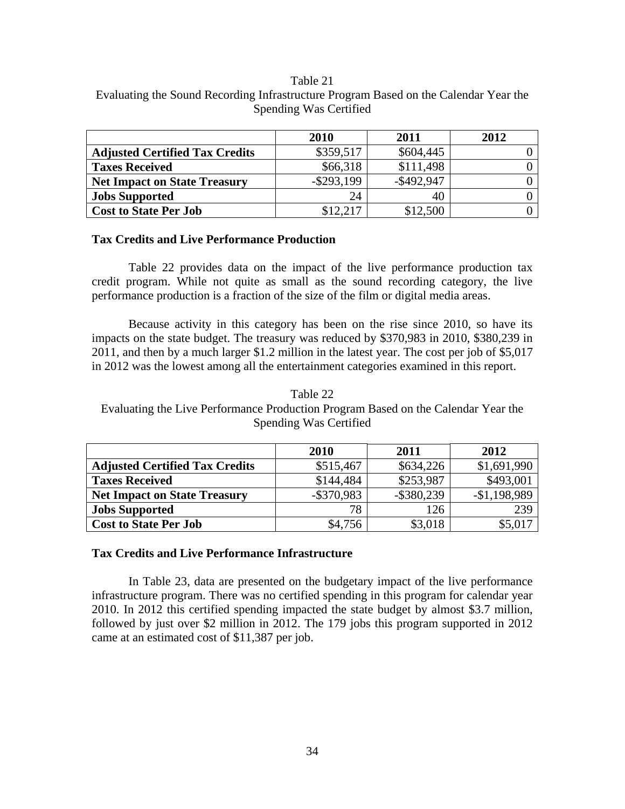#### Table 21

| Evaluating the Sound Recording Infrastructure Program Based on the Calendar Year the |  |
|--------------------------------------------------------------------------------------|--|
| Spending Was Certified                                                               |  |

|                                       | 2010          | 2011          | 2012 |
|---------------------------------------|---------------|---------------|------|
| <b>Adjusted Certified Tax Credits</b> | \$359,517     | \$604,445     |      |
| <b>Taxes Received</b>                 | \$66,318      | \$111,498     |      |
| <b>Net Impact on State Treasury</b>   | $-$ \$293,199 | $-$ \$492,947 |      |
| <b>Jobs Supported</b>                 | 24            | 40            |      |
| <b>Cost to State Per Job</b>          | \$12,217      | \$12,500      |      |

### **Tax Credits and Live Performance Production**

 Table 22 provides data on the impact of the live performance production tax credit program. While not quite as small as the sound recording category, the live performance production is a fraction of the size of the film or digital media areas.

 Because activity in this category has been on the rise since 2010, so have its impacts on the state budget. The treasury was reduced by \$370,983 in 2010, \$380,239 in 2011, and then by a much larger \$1.2 million in the latest year. The cost per job of \$5,017 in 2012 was the lowest among all the entertainment categories examined in this report.

Table 22 Evaluating the Live Performance Production Program Based on the Calendar Year the Spending Was Certified

|                                       | 2010          | 2011          | 2012          |
|---------------------------------------|---------------|---------------|---------------|
| <b>Adjusted Certified Tax Credits</b> | \$515,467     | \$634,226     | \$1,691,990   |
| <b>Taxes Received</b>                 | \$144,484     | \$253,987     | \$493,001     |
| <b>Net Impact on State Treasury</b>   | $-$ \$370,983 | $-$ \$380,239 | $-$1,198,989$ |
| <b>Jobs Supported</b>                 | 78            | 126           | 239           |
| <b>Cost to State Per Job</b>          | \$4,756       | \$3,018       |               |

## **Tax Credits and Live Performance Infrastructure**

 In Table 23, data are presented on the budgetary impact of the live performance infrastructure program. There was no certified spending in this program for calendar year 2010. In 2012 this certified spending impacted the state budget by almost \$3.7 million, followed by just over \$2 million in 2012. The 179 jobs this program supported in 2012 came at an estimated cost of \$11,387 per job.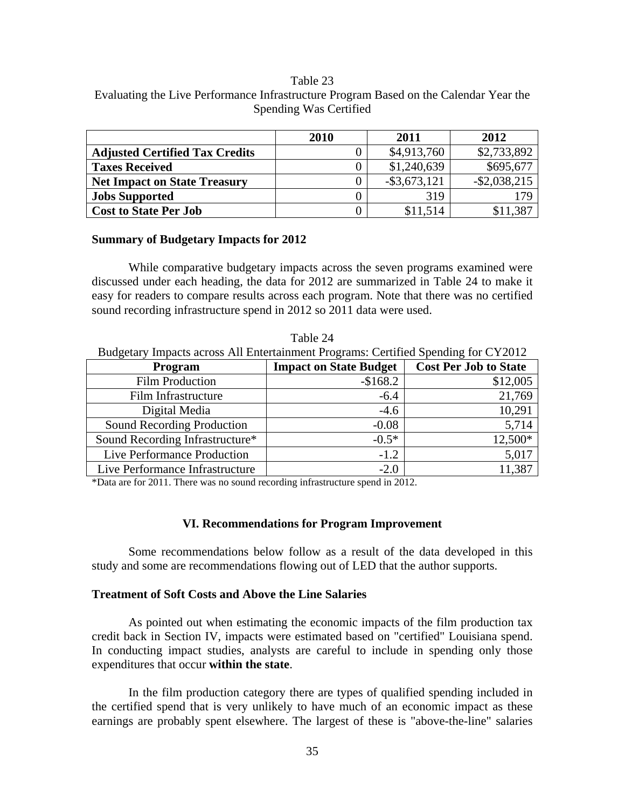#### Table 23

# Evaluating the Live Performance Infrastructure Program Based on the Calendar Year the Spending Was Certified

|                                       | 2010 | 2011            | 2012            |
|---------------------------------------|------|-----------------|-----------------|
| <b>Adjusted Certified Tax Credits</b> |      | \$4,913,760     | \$2,733,892     |
| <b>Taxes Received</b>                 |      | \$1,240,639     | \$695,677       |
| <b>Net Impact on State Treasury</b>   |      | $-$ \$3,673,121 | $-$ \$2,038,215 |
| <b>Jobs Supported</b>                 |      | 319             | 179             |
| <b>Cost to State Per Job</b>          |      | \$11,514        | \$11.387        |

#### **Summary of Budgetary Impacts for 2012**

While comparative budgetary impacts across the seven programs examined were discussed under each heading, the data for 2012 are summarized in Table 24 to make it easy for readers to compare results across each program. Note that there was no certified sound recording infrastructure spend in 2012 so 2011 data were used.

| Budgetary Impacts across All Entertainment Programs: Certified Spending for CY2012 |                               |                              |  |
|------------------------------------------------------------------------------------|-------------------------------|------------------------------|--|
| Program                                                                            | <b>Impact on State Budget</b> | <b>Cost Per Job to State</b> |  |
| <b>Film Production</b>                                                             | $-$168.2$                     | \$12,005                     |  |
| Film Infrastructure                                                                | $-6.4$                        | 21,769                       |  |
| Digital Media                                                                      | $-4.6$                        | 10,291                       |  |
| Sound Recording Production                                                         | $-0.08$                       | 5,714                        |  |
| Sound Recording Infrastructure*                                                    | $-0.5*$                       | 12,500*                      |  |
| Live Performance Production                                                        | $-1.2$                        | 5,017                        |  |
| Live Performance Infrastructure                                                    | $-2.0$                        | 11,387                       |  |

Table 24

\*Data are for 2011. There was no sound recording infrastructure spend in 2012.

#### **VI. Recommendations for Program Improvement**

 Some recommendations below follow as a result of the data developed in this study and some are recommendations flowing out of LED that the author supports.

#### **Treatment of Soft Costs and Above the Line Salaries**

As pointed out when estimating the economic impacts of the film production tax credit back in Section IV, impacts were estimated based on "certified" Louisiana spend. In conducting impact studies, analysts are careful to include in spending only those expenditures that occur **within the state**.

 In the film production category there are types of qualified spending included in the certified spend that is very unlikely to have much of an economic impact as these earnings are probably spent elsewhere. The largest of these is "above-the-line" salaries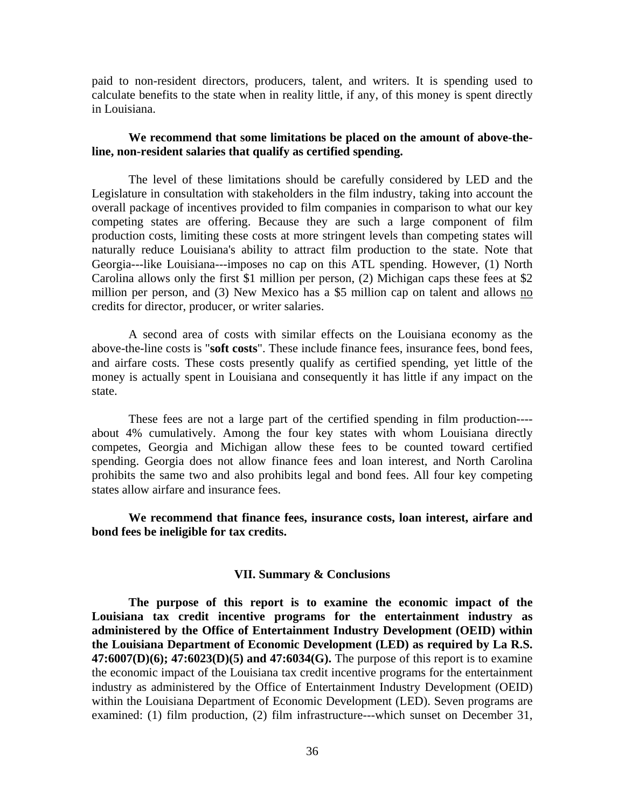paid to non-resident directors, producers, talent, and writers. It is spending used to calculate benefits to the state when in reality little, if any, of this money is spent directly in Louisiana.

## **We recommend that some limitations be placed on the amount of above-theline, non-resident salaries that qualify as certified spending.**

 The level of these limitations should be carefully considered by LED and the Legislature in consultation with stakeholders in the film industry, taking into account the overall package of incentives provided to film companies in comparison to what our key competing states are offering. Because they are such a large component of film production costs, limiting these costs at more stringent levels than competing states will naturally reduce Louisiana's ability to attract film production to the state. Note that Georgia---like Louisiana---imposes no cap on this ATL spending. However, (1) North Carolina allows only the first \$1 million per person, (2) Michigan caps these fees at \$2 million per person, and (3) New Mexico has a \$5 million cap on talent and allows no credits for director, producer, or writer salaries.

 A second area of costs with similar effects on the Louisiana economy as the above-the-line costs is "**soft costs**". These include finance fees, insurance fees, bond fees, and airfare costs. These costs presently qualify as certified spending, yet little of the money is actually spent in Louisiana and consequently it has little if any impact on the state.

 These fees are not a large part of the certified spending in film production--- about 4% cumulatively. Among the four key states with whom Louisiana directly competes, Georgia and Michigan allow these fees to be counted toward certified spending. Georgia does not allow finance fees and loan interest, and North Carolina prohibits the same two and also prohibits legal and bond fees. All four key competing states allow airfare and insurance fees.

**We recommend that finance fees, insurance costs, loan interest, airfare and bond fees be ineligible for tax credits.** 

#### **VII. Summary & Conclusions**

 **The purpose of this report is to examine the economic impact of the Louisiana tax credit incentive programs for the entertainment industry as administered by the Office of Entertainment Industry Development (OEID) within the Louisiana Department of Economic Development (LED) as required by La R.S. 47:6007(D)(6); 47:6023(D)(5) and 47:6034(G).** The purpose of this report is to examine the economic impact of the Louisiana tax credit incentive programs for the entertainment industry as administered by the Office of Entertainment Industry Development (OEID) within the Louisiana Department of Economic Development (LED). Seven programs are examined: (1) film production, (2) film infrastructure---which sunset on December 31,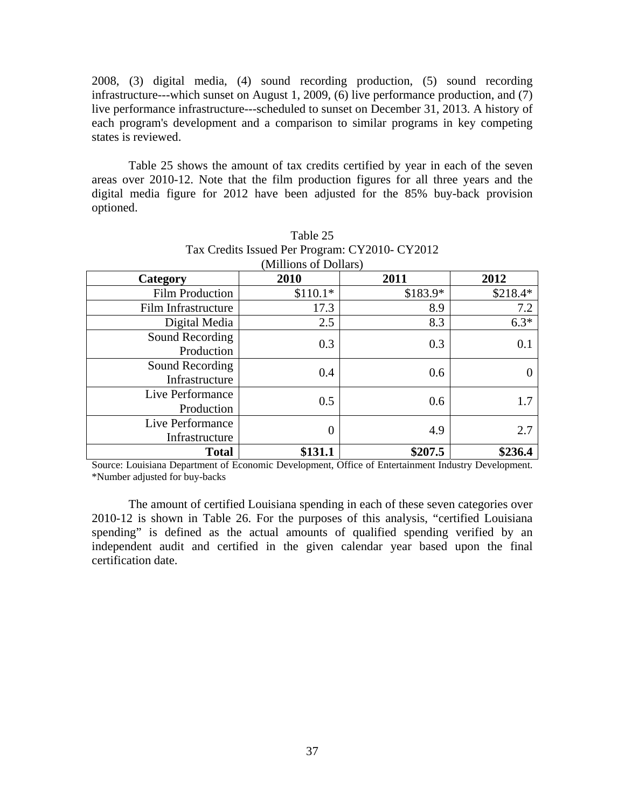2008, (3) digital media, (4) sound recording production, (5) sound recording infrastructure---which sunset on August 1, 2009, (6) live performance production, and (7) live performance infrastructure---scheduled to sunset on December 31, 2013. A history of each program's development and a comparison to similar programs in key competing states is reviewed.

 Table 25 shows the amount of tax credits certified by year in each of the seven areas over 2010-12. Note that the film production figures for all three years and the digital media figure for 2012 have been adjusted for the 85% buy-back provision optioned.

| Category                           | 2010      | 2011      | 2012      |
|------------------------------------|-----------|-----------|-----------|
| <b>Film Production</b>             | $$110.1*$ | $$183.9*$ | $$218.4*$ |
| Film Infrastructure                | 17.3      | 8.9       | 7.2       |
| Digital Media                      | 2.5       | 8.3       | $6.3*$    |
| Sound Recording<br>Production      | 0.3       | 0.3       | 0.1       |
| Sound Recording<br>Infrastructure  | 0.4       | 0.6       |           |
| Live Performance<br>Production     | 0.5       | 0.6       | 1.7       |
| Live Performance<br>Infrastructure | 0         | 4.9       | 2.7       |
| <b>Total</b>                       | \$131.1   | \$207.5   | \$236.4   |

## Table 25 Tax Credits Issued Per Program: CY2010- CY2012 (Millions of Dollars)

Source: Louisiana Department of Economic Development, Office of Entertainment Industry Development. \*Number adjusted for buy-backs

 The amount of certified Louisiana spending in each of these seven categories over 2010-12 is shown in Table 26. For the purposes of this analysis, "certified Louisiana spending" is defined as the actual amounts of qualified spending verified by an independent audit and certified in the given calendar year based upon the final certification date.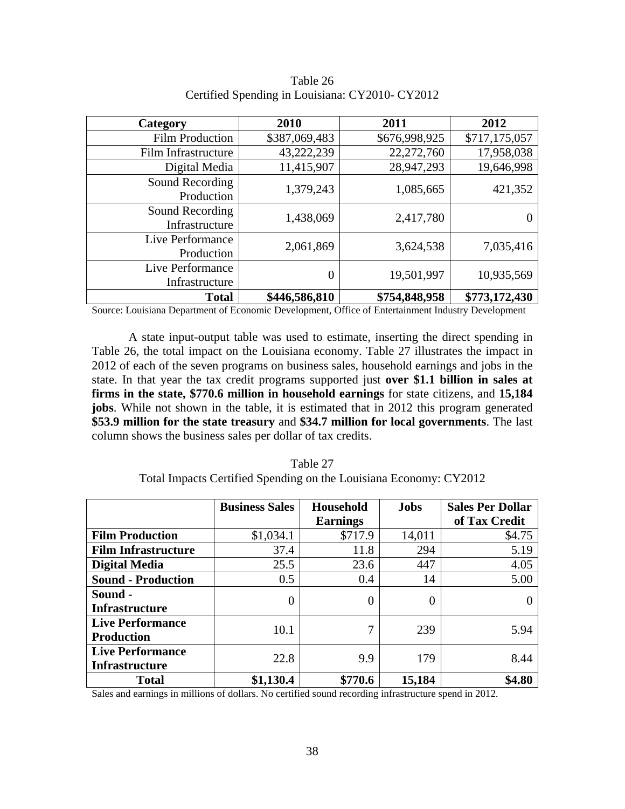| Category                           | 2010             | 2011          | 2012          |
|------------------------------------|------------------|---------------|---------------|
| <b>Film Production</b>             | \$387,069,483    | \$676,998,925 | \$717,175,057 |
| Film Infrastructure                | 43,222,239       | 22,272,760    | 17,958,038    |
| Digital Media                      | 11,415,907       | 28,947,293    | 19,646,998    |
| Sound Recording<br>Production      | 1,379,243        | 1,085,665     | 421,352       |
| Sound Recording<br>Infrastructure  | 1,438,069        | 2,417,780     |               |
| Live Performance<br>Production     | 2,061,869        | 3,624,538     | 7,035,416     |
| Live Performance<br>Infrastructure | $\boldsymbol{0}$ | 19,501,997    | 10,935,569    |
| <b>Total</b>                       | \$446,586,810    | \$754,848,958 | \$773,172,430 |

Table 26 Certified Spending in Louisiana: CY2010- CY2012

Source: Louisiana Department of Economic Development, Office of Entertainment Industry Development

A state input-output table was used to estimate, inserting the direct spending in Table 26, the total impact on the Louisiana economy. Table 27 illustrates the impact in 2012 of each of the seven programs on business sales, household earnings and jobs in the state. In that year the tax credit programs supported just **over \$1.1 billion in sales at firms in the state, \$770.6 million in household earnings** for state citizens, and **15,184 jobs**. While not shown in the table, it is estimated that in 2012 this program generated **\$53.9 million for the state treasury** and **\$34.7 million for local governments**. The last column shows the business sales per dollar of tax credits.

|                            | <b>Business Sales</b> | Household       | <b>Jobs</b> | <b>Sales Per Dollar</b> |
|----------------------------|-----------------------|-----------------|-------------|-------------------------|
|                            |                       | <b>Earnings</b> |             | of Tax Credit           |
| <b>Film Production</b>     | \$1,034.1             | \$717.9         | 14,011      | \$4.75                  |
| <b>Film Infrastructure</b> | 37.4                  | 11.8            | 294         | 5.19                    |
| <b>Digital Media</b>       | 25.5                  | 23.6            | 447         | 4.05                    |
| <b>Sound - Production</b>  | 0.5                   | 0.4             | 14          | 5.00                    |
| Sound -                    | $\Omega$              | $\Omega$        |             |                         |
| <b>Infrastructure</b>      |                       |                 |             |                         |
| <b>Live Performance</b>    | 10.1                  | $\mathcal{I}$   | 239         | 5.94                    |
| <b>Production</b>          |                       |                 |             |                         |
| <b>Live Performance</b>    | 22.8                  | 9.9             | 179         | 8.44                    |
| <b>Infrastructure</b>      |                       |                 |             |                         |
| <b>Total</b>               | \$1,130.4             | \$770.6         | 15,184      | \$4.80                  |

Table 27 Total Impacts Certified Spending on the Louisiana Economy: CY2012

Sales and earnings in millions of dollars. No certified sound recording infrastructure spend in 2012.